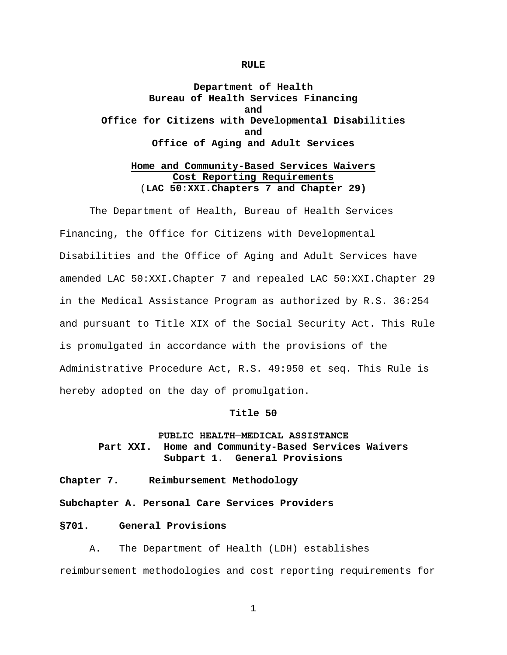#### **RULE**

# **Department of Health Bureau of Health Services Financing and Office for Citizens with Developmental Disabilities and Office of Aging and Adult Services**

## **Home and Community-Based Services Waivers Cost Reporting Requirements** (**LAC 50:XXI.Chapters 7 and Chapter 29)**

The Department of Health, Bureau of Health Services Financing, the Office for Citizens with Developmental Disabilities and the Office of Aging and Adult Services have amended LAC 50:XXI.Chapter 7 and repealed LAC 50:XXI.Chapter 29 in the Medical Assistance Program as authorized by R.S. 36:254 and pursuant to Title XIX of the Social Security Act. This Rule is promulgated in accordance with the provisions of the Administrative Procedure Act, R.S. 49:950 et seq. This Rule is hereby adopted on the day of promulgation.

#### **Title 50**

# **PUBLIC HEALTH─MEDICAL ASSISTANCE Part XXI. Home and Community-Based Services Waivers Subpart 1. General Provisions**

- **Chapter 7. Reimbursement Methodology**
- **Subchapter A. Personal Care Services Providers**

## **§701. General Provisions**

A. The Department of Health (LDH) establishes reimbursement methodologies and cost reporting requirements for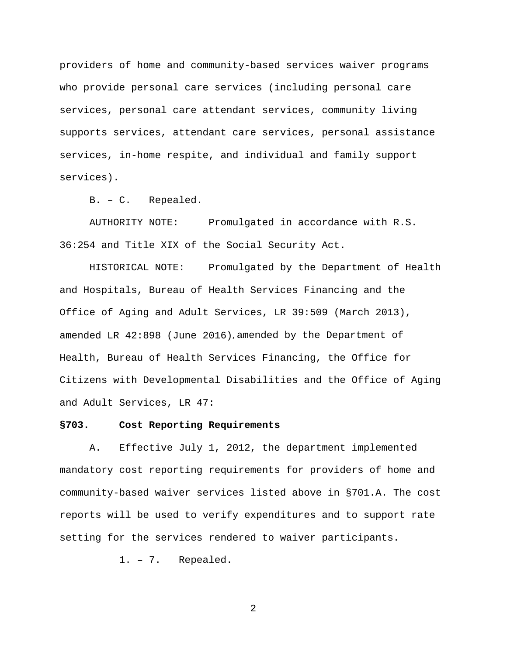providers of home and community-based services waiver programs who provide personal care services (including personal care services, personal care attendant services, community living supports services, attendant care services, personal assistance services, in-home respite, and individual and family support services).

B. – C. Repealed.

AUTHORITY NOTE: Promulgated in accordance with R.S. 36:254 and Title XIX of the Social Security Act.

HISTORICAL NOTE: Promulgated by the Department of Health and Hospitals, Bureau of Health Services Financing and the Office of Aging and Adult Services, LR 39:509 (March 2013), amended LR 42:898 (June 2016), amended by the Department of Health, Bureau of Health Services Financing, the Office for Citizens with Developmental Disabilities and the Office of Aging and Adult Services, LR 47:

## **§703. Cost Reporting Requirements**

A. Effective July 1, 2012, the department implemented mandatory cost reporting requirements for providers of home and community-based waiver services listed above in §701.A. The cost reports will be used to verify expenditures and to support rate setting for the services rendered to waiver participants.

1. – 7. Repealed.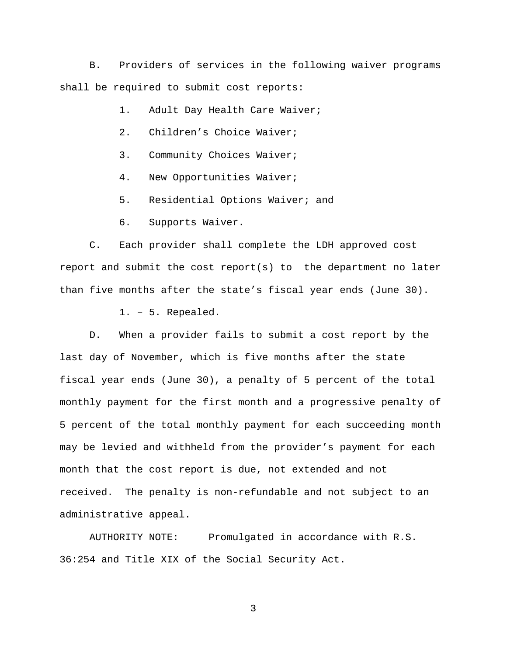B. Providers of services in the following waiver programs shall be required to submit cost reports:

1. Adult Day Health Care Waiver;

- 2. Children's Choice Waiver;
- 3. Community Choices Waiver;
- 4. New Opportunities Waiver;
- 5. Residential Options Waiver; and
- 6. Supports Waiver.

C. Each provider shall complete the LDH approved cost report and submit the cost report(s) to the department no later than five months after the state's fiscal year ends (June 30).

1. – 5. Repealed.

D. When a provider fails to submit a cost report by the last day of November, which is five months after the state fiscal year ends (June 30), a penalty of 5 percent of the total monthly payment for the first month and a progressive penalty of 5 percent of the total monthly payment for each succeeding month may be levied and withheld from the provider's payment for each month that the cost report is due, not extended and not received. The penalty is non-refundable and not subject to an administrative appeal.

AUTHORITY NOTE: Promulgated in accordance with R.S. 36:254 and Title XIX of the Social Security Act.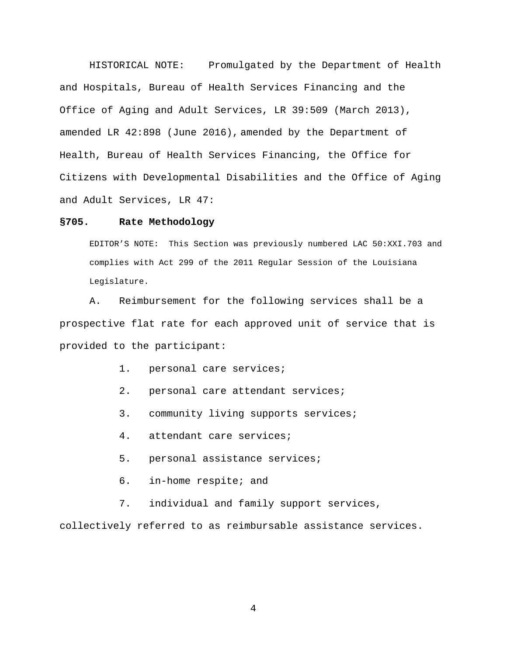HISTORICAL NOTE: Promulgated by the Department of Health and Hospitals, Bureau of Health Services Financing and the Office of Aging and Adult Services, LR 39:509 (March 2013), amended LR 42:898 (June 2016), amended by the Department of Health, Bureau of Health Services Financing, the Office for Citizens with Developmental Disabilities and the Office of Aging and Adult Services, LR 47:

#### **§705. Rate Methodology**

EDITOR'S NOTE: This Section was previously numbered LAC 50:XXI.703 and complies with Act 299 of the 2011 Regular Session of the Louisiana Legislature.

A. Reimbursement for the following services shall be a prospective flat rate for each approved unit of service that is provided to the participant:

- 1. personal care services;
- 2. personal care attendant services;
- 3. community living supports services;
- 4. attendant care services;
- 5. personal assistance services;
- 6. in-home respite; and
- 7. individual and family support services,

collectively referred to as reimbursable assistance services.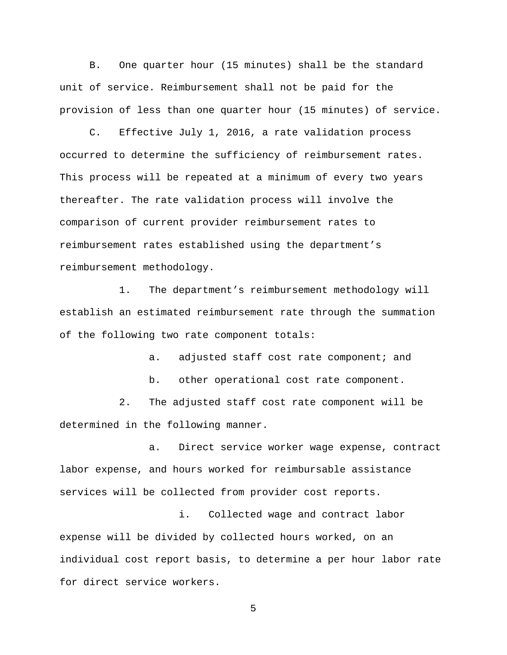B. One quarter hour (15 minutes) shall be the standard unit of service. Reimbursement shall not be paid for the provision of less than one quarter hour (15 minutes) of service.

C. Effective July 1, 2016, a rate validation process occurred to determine the sufficiency of reimbursement rates. This process will be repeated at a minimum of every two years thereafter. The rate validation process will involve the comparison of current provider reimbursement rates to reimbursement rates established using the department's reimbursement methodology.

1. The department's reimbursement methodology will establish an estimated reimbursement rate through the summation of the following two rate component totals:

a. adjusted staff cost rate component; and

b. other operational cost rate component.

2. The adjusted staff cost rate component will be determined in the following manner.

a. Direct service worker wage expense, contract labor expense, and hours worked for reimbursable assistance services will be collected from provider cost reports.

i. Collected wage and contract labor expense will be divided by collected hours worked, on an individual cost report basis, to determine a per hour labor rate for direct service workers.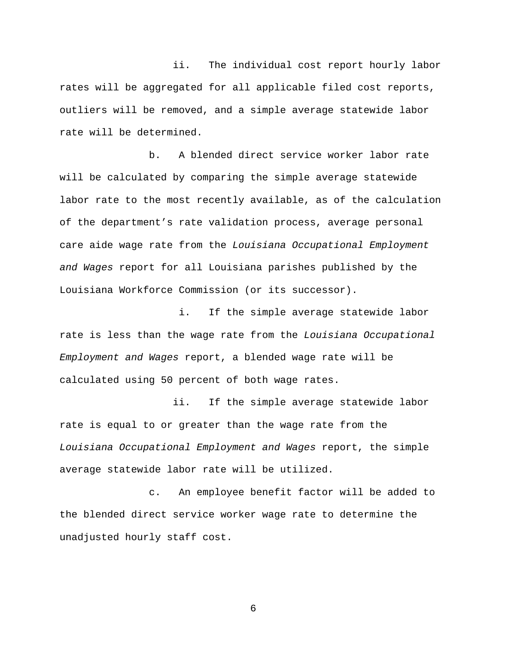ii. The individual cost report hourly labor rates will be aggregated for all applicable filed cost reports, outliers will be removed, and a simple average statewide labor rate will be determined.

b. A blended direct service worker labor rate will be calculated by comparing the simple average statewide labor rate to the most recently available, as of the calculation of the department's rate validation process, average personal care aide wage rate from the *Louisiana Occupational Employment and Wages* report for all Louisiana parishes published by the Louisiana Workforce Commission (or its successor).

i. If the simple average statewide labor rate is less than the wage rate from the *Louisiana Occupational Employment and Wages* report, a blended wage rate will be calculated using 50 percent of both wage rates.

 ii. If the simple average statewide labor rate is equal to or greater than the wage rate from the *Louisiana Occupational Employment and Wages* report, the simple average statewide labor rate will be utilized.

c. An employee benefit factor will be added to the blended direct service worker wage rate to determine the unadjusted hourly staff cost.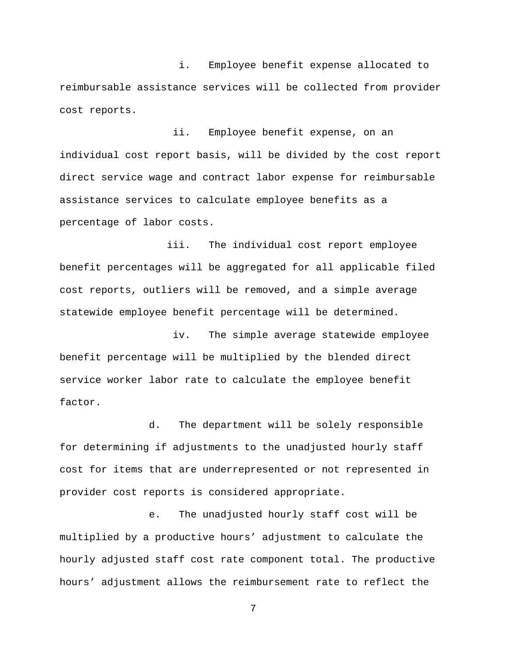i. Employee benefit expense allocated to reimbursable assistance services will be collected from provider cost reports.

 ii. Employee benefit expense, on an individual cost report basis, will be divided by the cost report direct service wage and contract labor expense for reimbursable assistance services to calculate employee benefits as a percentage of labor costs.

 iii. The individual cost report employee benefit percentages will be aggregated for all applicable filed cost reports, outliers will be removed, and a simple average statewide employee benefit percentage will be determined.

 iv. The simple average statewide employee benefit percentage will be multiplied by the blended direct service worker labor rate to calculate the employee benefit factor.

d. The department will be solely responsible for determining if adjustments to the unadjusted hourly staff cost for items that are underrepresented or not represented in provider cost reports is considered appropriate.

e. The unadjusted hourly staff cost will be multiplied by a productive hours' adjustment to calculate the hourly adjusted staff cost rate component total. The productive hours' adjustment allows the reimbursement rate to reflect the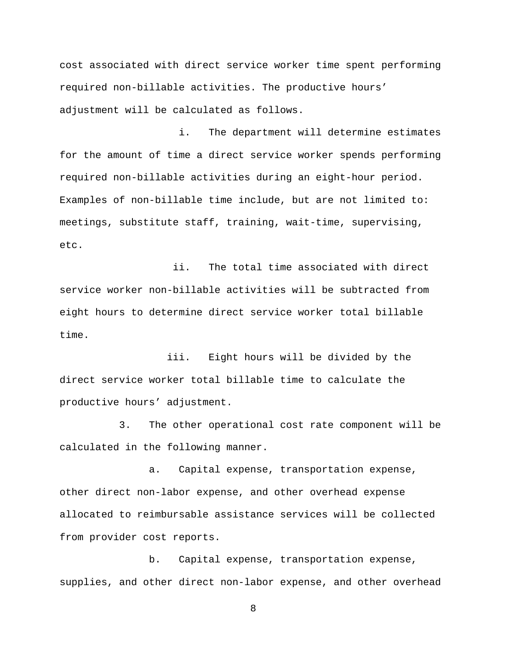cost associated with direct service worker time spent performing required non-billable activities. The productive hours' adjustment will be calculated as follows.

i. The department will determine estimates for the amount of time a direct service worker spends performing required non-billable activities during an eight-hour period. Examples of non-billable time include, but are not limited to: meetings, substitute staff, training, wait-time, supervising, etc.

 ii. The total time associated with direct service worker non-billable activities will be subtracted from eight hours to determine direct service worker total billable time.

 iii. Eight hours will be divided by the direct service worker total billable time to calculate the productive hours' adjustment.

3. The other operational cost rate component will be calculated in the following manner.

a. Capital expense, transportation expense, other direct non-labor expense, and other overhead expense allocated to reimbursable assistance services will be collected from provider cost reports.

b. Capital expense, transportation expense, supplies, and other direct non-labor expense, and other overhead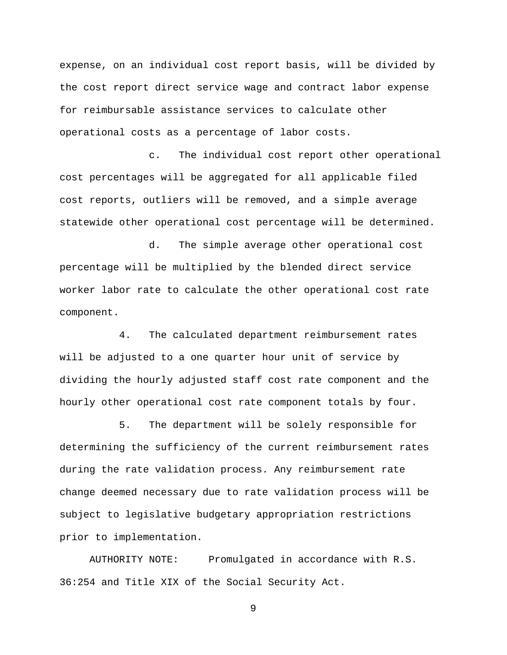expense, on an individual cost report basis, will be divided by the cost report direct service wage and contract labor expense for reimbursable assistance services to calculate other operational costs as a percentage of labor costs.

c. The individual cost report other operational cost percentages will be aggregated for all applicable filed cost reports, outliers will be removed, and a simple average statewide other operational cost percentage will be determined.

d. The simple average other operational cost percentage will be multiplied by the blended direct service worker labor rate to calculate the other operational cost rate component.

4. The calculated department reimbursement rates will be adjusted to a one quarter hour unit of service by dividing the hourly adjusted staff cost rate component and the hourly other operational cost rate component totals by four.

5. The department will be solely responsible for determining the sufficiency of the current reimbursement rates during the rate validation process. Any reimbursement rate change deemed necessary due to rate validation process will be subject to legislative budgetary appropriation restrictions prior to implementation.

AUTHORITY NOTE: Promulgated in accordance with R.S. 36:254 and Title XIX of the Social Security Act.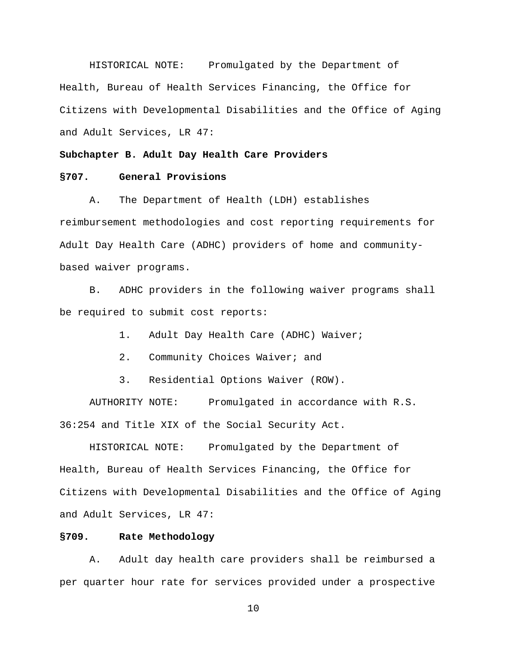HISTORICAL NOTE: Promulgated by the Department of Health, Bureau of Health Services Financing, the Office for Citizens with Developmental Disabilities and the Office of Aging and Adult Services, LR 47:

## **Subchapter B. Adult Day Health Care Providers**

## **§707. General Provisions**

A. The Department of Health (LDH) establishes reimbursement methodologies and cost reporting requirements for Adult Day Health Care (ADHC) providers of home and communitybased waiver programs.

B. ADHC providers in the following waiver programs shall be required to submit cost reports:

1. Adult Day Health Care (ADHC) Waiver;

- 2. Community Choices Waiver; and
- 3. Residential Options Waiver (ROW).

AUTHORITY NOTE: Promulgated in accordance with R.S. 36:254 and Title XIX of the Social Security Act.

HISTORICAL NOTE: Promulgated by the Department of Health, Bureau of Health Services Financing, the Office for Citizens with Developmental Disabilities and the Office of Aging and Adult Services, LR 47:

## **§709. Rate Methodology**

A. Adult day health care providers shall be reimbursed a per quarter hour rate for services provided under a prospective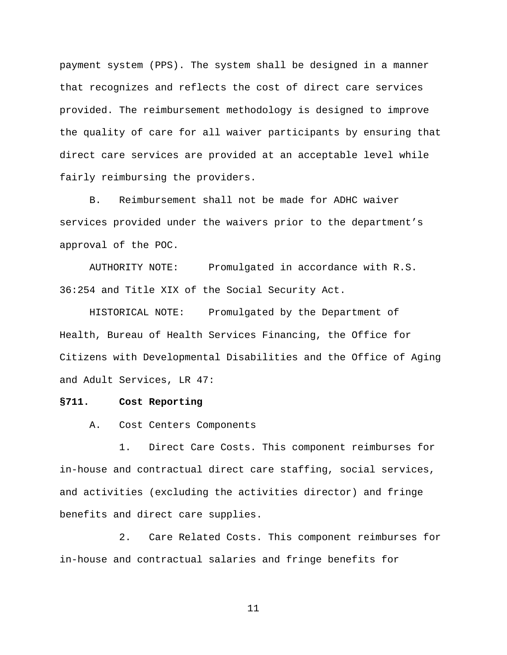payment system (PPS). The system shall be designed in a manner that recognizes and reflects the cost of direct care services provided. The reimbursement methodology is designed to improve the quality of care for all waiver participants by ensuring that direct care services are provided at an acceptable level while fairly reimbursing the providers.

B. Reimbursement shall not be made for ADHC waiver services provided under the waivers prior to the department's approval of the POC.

AUTHORITY NOTE: Promulgated in accordance with R.S. 36:254 and Title XIX of the Social Security Act.

HISTORICAL NOTE: Promulgated by the Department of Health, Bureau of Health Services Financing, the Office for Citizens with Developmental Disabilities and the Office of Aging and Adult Services, LR 47:

### **§711. Cost Reporting**

A. Cost Centers Components

1. Direct Care Costs. This component reimburses for in-house and contractual direct care staffing, social services, and activities (excluding the activities director) and fringe benefits and direct care supplies.

2. Care Related Costs. This component reimburses for in-house and contractual salaries and fringe benefits for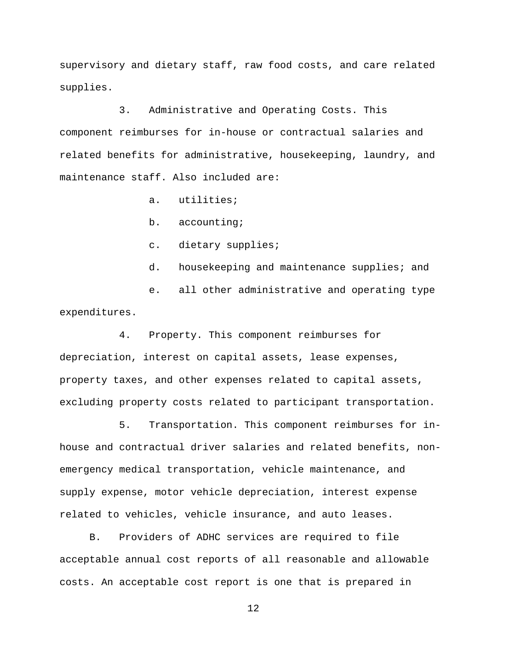supervisory and dietary staff, raw food costs, and care related supplies.

3. Administrative and Operating Costs. This component reimburses for in-house or contractual salaries and related benefits for administrative, housekeeping, laundry, and maintenance staff. Also included are:

a. utilities;

b. accounting;

c. dietary supplies;

d. housekeeping and maintenance supplies; and

e. all other administrative and operating type expenditures.

4. Property. This component reimburses for depreciation, interest on capital assets, lease expenses, property taxes, and other expenses related to capital assets, excluding property costs related to participant transportation.

5. Transportation. This component reimburses for inhouse and contractual driver salaries and related benefits, nonemergency medical transportation, vehicle maintenance, and supply expense, motor vehicle depreciation, interest expense related to vehicles, vehicle insurance, and auto leases.

B. Providers of ADHC services are required to file acceptable annual cost reports of all reasonable and allowable costs. An acceptable cost report is one that is prepared in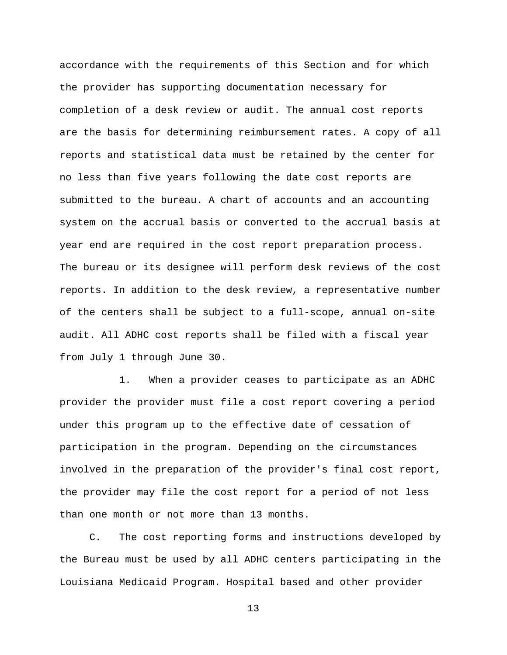accordance with the requirements of this Section and for which the provider has supporting documentation necessary for completion of a desk review or audit. The annual cost reports are the basis for determining reimbursement rates. A copy of all reports and statistical data must be retained by the center for no less than five years following the date cost reports are submitted to the bureau. A chart of accounts and an accounting system on the accrual basis or converted to the accrual basis at year end are required in the cost report preparation process. The bureau or its designee will perform desk reviews of the cost reports. In addition to the desk review, a representative number of the centers shall be subject to a full-scope, annual on-site audit. All ADHC cost reports shall be filed with a fiscal year from July 1 through June 30.

1. When a provider ceases to participate as an ADHC provider the provider must file a cost report covering a period under this program up to the effective date of cessation of participation in the program. Depending on the circumstances involved in the preparation of the provider's final cost report, the provider may file the cost report for a period of not less than one month or not more than 13 months.

C. The cost reporting forms and instructions developed by the Bureau must be used by all ADHC centers participating in the Louisiana Medicaid Program. Hospital based and other provider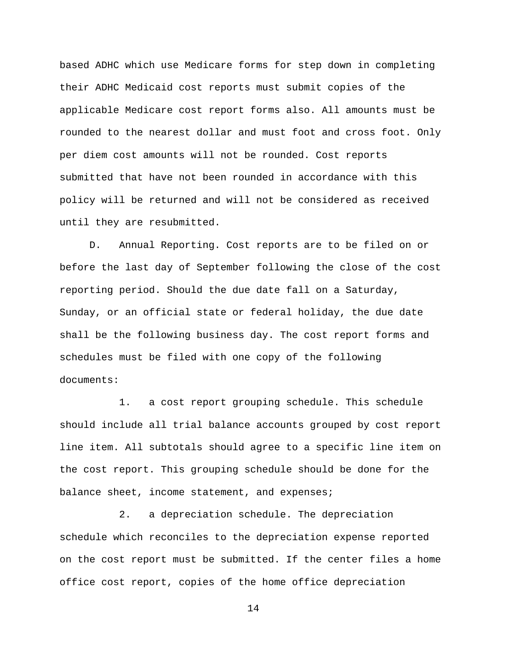based ADHC which use Medicare forms for step down in completing their ADHC Medicaid cost reports must submit copies of the applicable Medicare cost report forms also. All amounts must be rounded to the nearest dollar and must foot and cross foot. Only per diem cost amounts will not be rounded. Cost reports submitted that have not been rounded in accordance with this policy will be returned and will not be considered as received until they are resubmitted.

D. Annual Reporting. Cost reports are to be filed on or before the last day of September following the close of the cost reporting period. Should the due date fall on a Saturday, Sunday, or an official state or federal holiday, the due date shall be the following business day. The cost report forms and schedules must be filed with one copy of the following documents:

1. a cost report grouping schedule. This schedule should include all trial balance accounts grouped by cost report line item. All subtotals should agree to a specific line item on the cost report. This grouping schedule should be done for the balance sheet, income statement, and expenses;

2. a depreciation schedule. The depreciation schedule which reconciles to the depreciation expense reported on the cost report must be submitted. If the center files a home office cost report, copies of the home office depreciation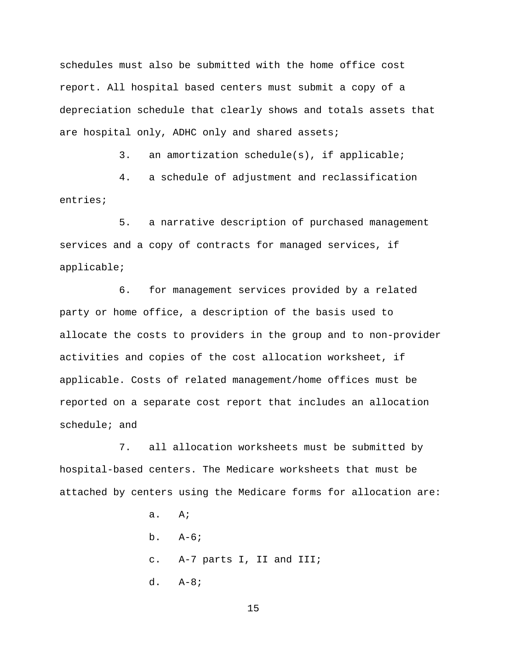schedules must also be submitted with the home office cost report. All hospital based centers must submit a copy of a depreciation schedule that clearly shows and totals assets that are hospital only, ADHC only and shared assets;

3. an amortization schedule(s), if applicable;

4. a schedule of adjustment and reclassification entries;

5. a narrative description of purchased management services and a copy of contracts for managed services, if applicable;

6. for management services provided by a related party or home office, a description of the basis used to allocate the costs to providers in the group and to non-provider activities and copies of the cost allocation worksheet, if applicable. Costs of related management/home offices must be reported on a separate cost report that includes an allocation schedule; and

7. all allocation worksheets must be submitted by hospital-based centers. The Medicare worksheets that must be attached by centers using the Medicare forms for allocation are:

> a. A; b. A-6; c. A-7 parts I, II and III; d. A-8;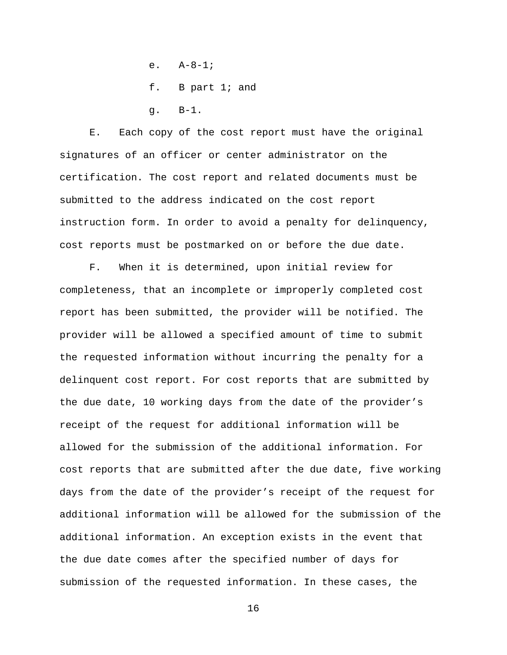- e.  $A-8-1;$
- f. B part 1; and
- g. B-1.

E. Each copy of the cost report must have the original signatures of an officer or center administrator on the certification. The cost report and related documents must be submitted to the address indicated on the cost report instruction form. In order to avoid a penalty for delinquency, cost reports must be postmarked on or before the due date.

F. When it is determined, upon initial review for completeness, that an incomplete or improperly completed cost report has been submitted, the provider will be notified. The provider will be allowed a specified amount of time to submit the requested information without incurring the penalty for a delinquent cost report. For cost reports that are submitted by the due date, 10 working days from the date of the provider's receipt of the request for additional information will be allowed for the submission of the additional information. For cost reports that are submitted after the due date, five working days from the date of the provider's receipt of the request for additional information will be allowed for the submission of the additional information. An exception exists in the event that the due date comes after the specified number of days for submission of the requested information. In these cases, the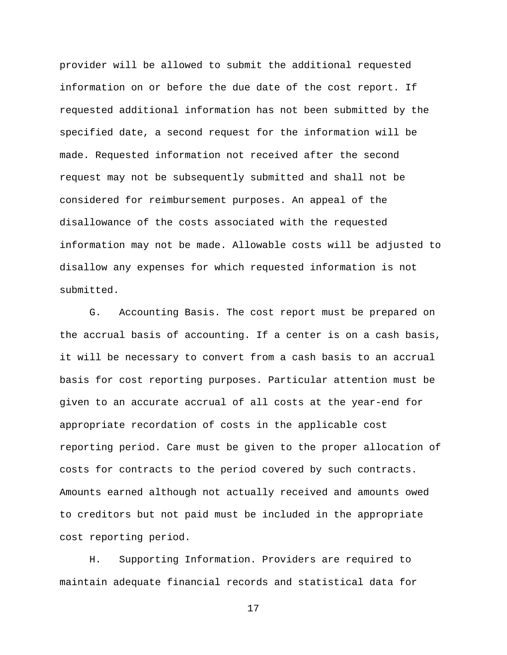provider will be allowed to submit the additional requested information on or before the due date of the cost report. If requested additional information has not been submitted by the specified date, a second request for the information will be made. Requested information not received after the second request may not be subsequently submitted and shall not be considered for reimbursement purposes. An appeal of the disallowance of the costs associated with the requested information may not be made. Allowable costs will be adjusted to disallow any expenses for which requested information is not submitted.

G. Accounting Basis. The cost report must be prepared on the accrual basis of accounting. If a center is on a cash basis, it will be necessary to convert from a cash basis to an accrual basis for cost reporting purposes. Particular attention must be given to an accurate accrual of all costs at the year-end for appropriate recordation of costs in the applicable cost reporting period. Care must be given to the proper allocation of costs for contracts to the period covered by such contracts. Amounts earned although not actually received and amounts owed to creditors but not paid must be included in the appropriate cost reporting period.

H. Supporting Information. Providers are required to maintain adequate financial records and statistical data for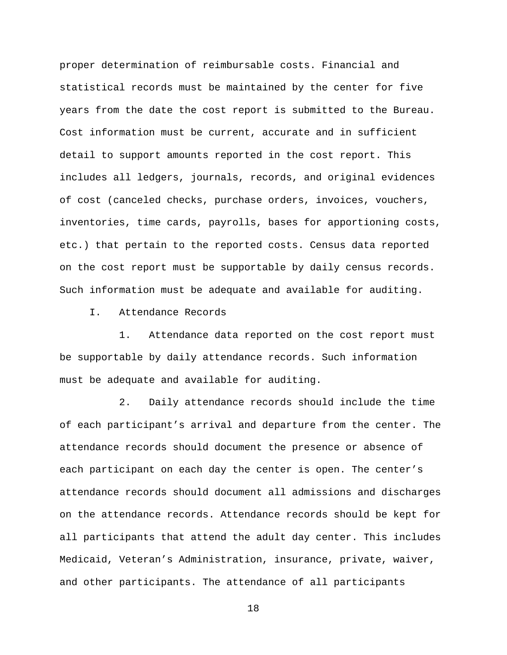proper determination of reimbursable costs. Financial and statistical records must be maintained by the center for five years from the date the cost report is submitted to the Bureau. Cost information must be current, accurate and in sufficient detail to support amounts reported in the cost report. This includes all ledgers, journals, records, and original evidences of cost (canceled checks, purchase orders, invoices, vouchers, inventories, time cards, payrolls, bases for apportioning costs, etc.) that pertain to the reported costs. Census data reported on the cost report must be supportable by daily census records. Such information must be adequate and available for auditing.

I. Attendance Records

1. Attendance data reported on the cost report must be supportable by daily attendance records. Such information must be adequate and available for auditing.

2. Daily attendance records should include the time of each participant's arrival and departure from the center. The attendance records should document the presence or absence of each participant on each day the center is open. The center's attendance records should document all admissions and discharges on the attendance records. Attendance records should be kept for all participants that attend the adult day center. This includes Medicaid, Veteran's Administration, insurance, private, waiver, and other participants. The attendance of all participants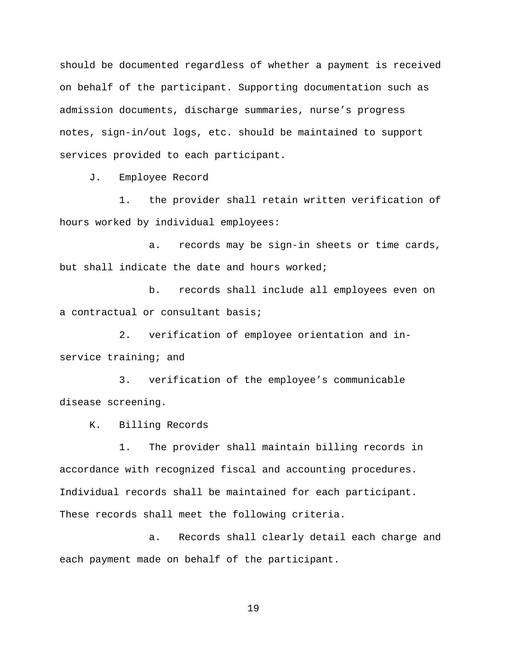should be documented regardless of whether a payment is received on behalf of the participant. Supporting documentation such as admission documents, discharge summaries, nurse's progress notes, sign-in/out logs, etc. should be maintained to support services provided to each participant.

J. Employee Record

1. the provider shall retain written verification of hours worked by individual employees:

a. records may be sign-in sheets or time cards, but shall indicate the date and hours worked;

b. records shall include all employees even on a contractual or consultant basis;

2. verification of employee orientation and inservice training; and

3. verification of the employee's communicable disease screening.

K. Billing Records

1. The provider shall maintain billing records in accordance with recognized fiscal and accounting procedures. Individual records shall be maintained for each participant. These records shall meet the following criteria.

a. Records shall clearly detail each charge and each payment made on behalf of the participant.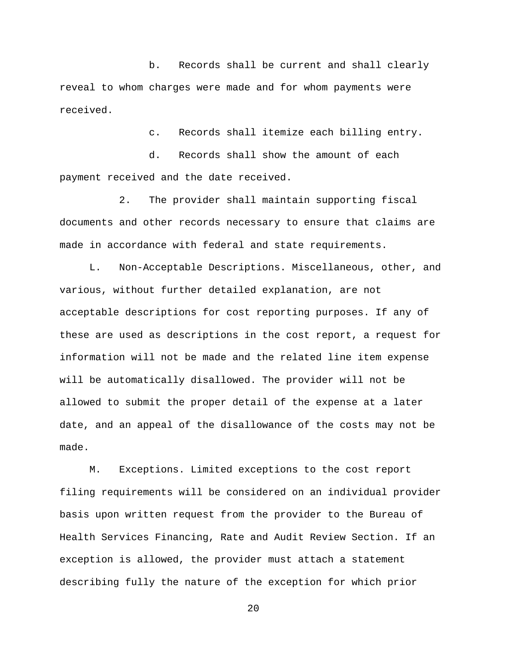b. Records shall be current and shall clearly reveal to whom charges were made and for whom payments were received.

c. Records shall itemize each billing entry.

d. Records shall show the amount of each payment received and the date received.

2. The provider shall maintain supporting fiscal documents and other records necessary to ensure that claims are made in accordance with federal and state requirements.

L. Non-Acceptable Descriptions. Miscellaneous, other, and various, without further detailed explanation, are not acceptable descriptions for cost reporting purposes. If any of these are used as descriptions in the cost report, a request for information will not be made and the related line item expense will be automatically disallowed. The provider will not be allowed to submit the proper detail of the expense at a later date, and an appeal of the disallowance of the costs may not be made.

M. Exceptions. Limited exceptions to the cost report filing requirements will be considered on an individual provider basis upon written request from the provider to the Bureau of Health Services Financing, Rate and Audit Review Section. If an exception is allowed, the provider must attach a statement describing fully the nature of the exception for which prior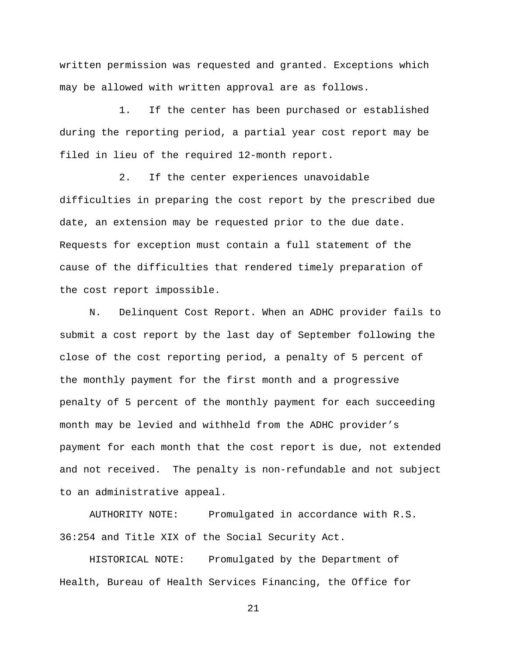written permission was requested and granted. Exceptions which may be allowed with written approval are as follows.

1. If the center has been purchased or established during the reporting period, a partial year cost report may be filed in lieu of the required 12-month report.

2. If the center experiences unavoidable difficulties in preparing the cost report by the prescribed due date, an extension may be requested prior to the due date. Requests for exception must contain a full statement of the cause of the difficulties that rendered timely preparation of the cost report impossible.

N. Delinquent Cost Report. When an ADHC provider fails to submit a cost report by the last day of September following the close of the cost reporting period, a penalty of 5 percent of the monthly payment for the first month and a progressive penalty of 5 percent of the monthly payment for each succeeding month may be levied and withheld from the ADHC provider's payment for each month that the cost report is due, not extended and not received. The penalty is non-refundable and not subject to an administrative appeal.

AUTHORITY NOTE: Promulgated in accordance with R.S. 36:254 and Title XIX of the Social Security Act.

HISTORICAL NOTE: Promulgated by the Department of Health, Bureau of Health Services Financing, the Office for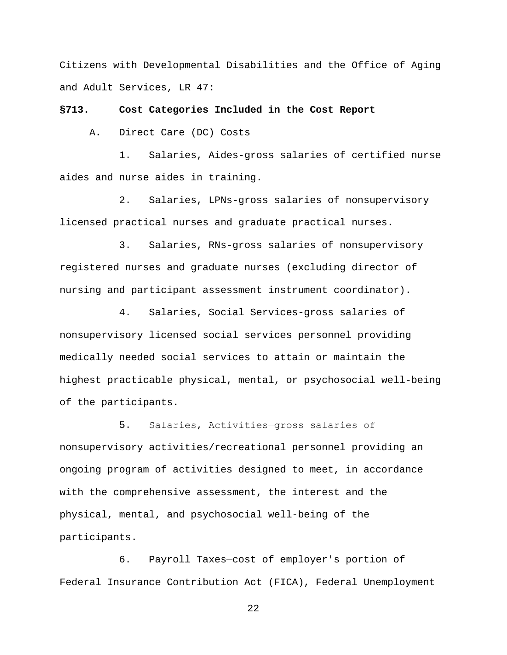Citizens with Developmental Disabilities and the Office of Aging and Adult Services, LR 47:

**§713. Cost Categories Included in the Cost Report**

A. Direct Care (DC) Costs

1. Salaries, Aides-gross salaries of certified nurse aides and nurse aides in training.

2. Salaries, LPNs-gross salaries of nonsupervisory licensed practical nurses and graduate practical nurses.

3. Salaries, RNs-gross salaries of nonsupervisory registered nurses and graduate nurses (excluding director of nursing and participant assessment instrument coordinator).

4. Salaries, Social Services-gross salaries of nonsupervisory licensed social services personnel providing medically needed social services to attain or maintain the highest practicable physical, mental, or psychosocial well-being of the participants.

5. Salaries, Activities―gross salaries of nonsupervisory activities/recreational personnel providing an ongoing program of activities designed to meet, in accordance with the comprehensive assessment, the interest and the physical, mental, and psychosocial well-being of the participants.

6. Payroll Taxes—cost of employer's portion of Federal Insurance Contribution Act (FICA), Federal Unemployment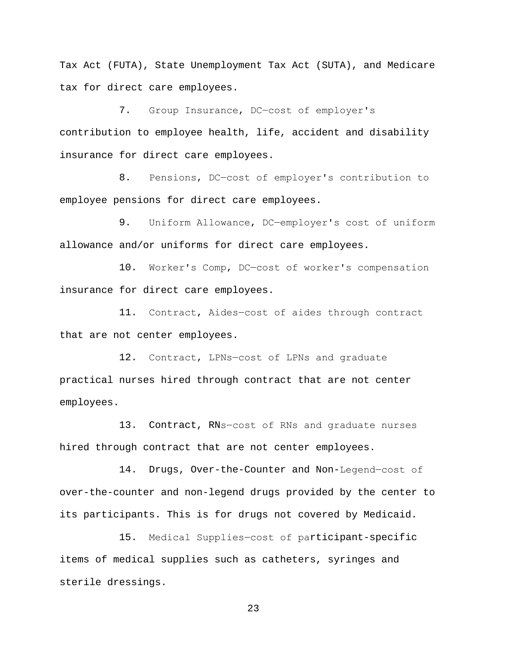Tax Act (FUTA), State Unemployment Tax Act (SUTA), and Medicare tax for direct care employees.

7. Group Insurance, DC―cost of employer's contribution to employee health, life, accident and disability insurance for direct care employees.

8. Pensions, DC-cost of employer's contribution to employee pensions for direct care employees.

9. Uniform Allowance, DC-employer's cost of uniform allowance and/or uniforms for direct care employees.

10. Worker's Comp, DC―cost of worker's compensation insurance for direct care employees.

11. Contract, Aides―cost of aides through contract that are not center employees.

12. Contract, LPNs―cost of LPNs and graduate practical nurses hired through contract that are not center employees.

13. Contract, RNs-cost of RNs and graduate nurses hired through contract that are not center employees.

14. Drugs, Over-the-Counter and Non-Legend―cost of over-the-counter and non-legend drugs provided by the center to its participants. This is for drugs not covered by Medicaid.

15. Medical Supplies―cost of participant-specific items of medical supplies such as catheters, syringes and sterile dressings.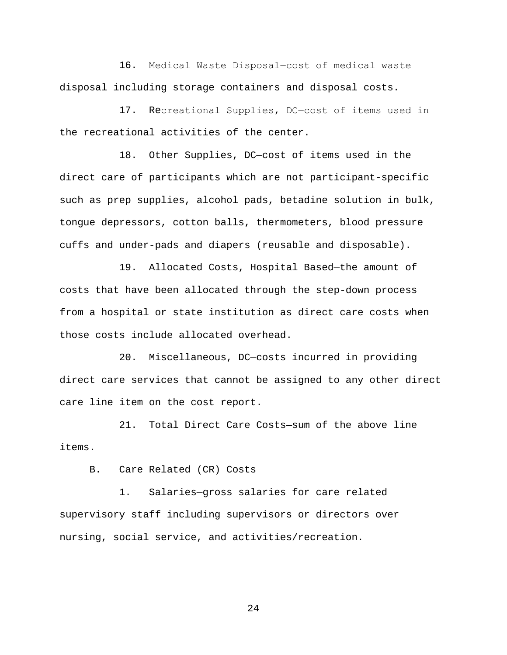16. Medical Waste Disposal―cost of medical waste disposal including storage containers and disposal costs.

17. Recreational Supplies, DC―cost of items used in the recreational activities of the center.

18. Other Supplies, DC—cost of items used in the direct care of participants which are not participant-specific such as prep supplies, alcohol pads, betadine solution in bulk, tongue depressors, cotton balls, thermometers, blood pressure cuffs and under-pads and diapers (reusable and disposable).

19. Allocated Costs, Hospital Based—the amount of costs that have been allocated through the step-down process from a hospital or state institution as direct care costs when those costs include allocated overhead.

20. Miscellaneous, DC—costs incurred in providing direct care services that cannot be assigned to any other direct care line item on the cost report.

21. Total Direct Care Costs—sum of the above line items.

B. Care Related (CR) Costs

1. Salaries—gross salaries for care related supervisory staff including supervisors or directors over nursing, social service, and activities/recreation.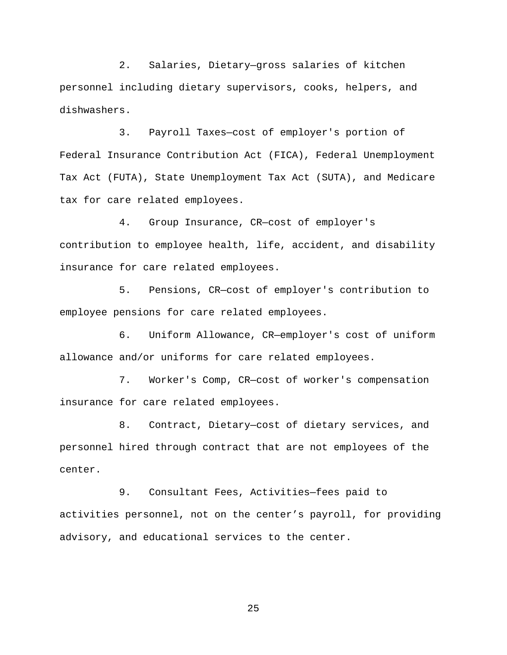2. Salaries, Dietary—gross salaries of kitchen personnel including dietary supervisors, cooks, helpers, and dishwashers.

3. Payroll Taxes—cost of employer's portion of Federal Insurance Contribution Act (FICA), Federal Unemployment Tax Act (FUTA), State Unemployment Tax Act (SUTA), and Medicare tax for care related employees.

4. Group Insurance, CR—cost of employer's contribution to employee health, life, accident, and disability insurance for care related employees.

5. Pensions, CR—cost of employer's contribution to employee pensions for care related employees.

6. Uniform Allowance, CR—employer's cost of uniform allowance and/or uniforms for care related employees.

7. Worker's Comp, CR—cost of worker's compensation insurance for care related employees.

8. Contract, Dietary—cost of dietary services, and personnel hired through contract that are not employees of the center.

9. Consultant Fees, Activities—fees paid to activities personnel, not on the center's payroll, for providing advisory, and educational services to the center.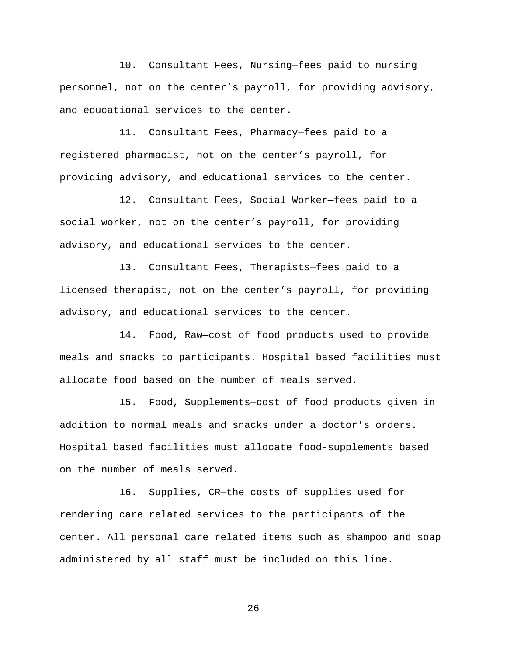10. Consultant Fees, Nursing—fees paid to nursing personnel, not on the center's payroll, for providing advisory, and educational services to the center.

11. Consultant Fees, Pharmacy—fees paid to a registered pharmacist, not on the center's payroll, for providing advisory, and educational services to the center.

12. Consultant Fees, Social Worker—fees paid to a social worker, not on the center's payroll, for providing advisory, and educational services to the center.

13. Consultant Fees, Therapists—fees paid to a licensed therapist, not on the center's payroll, for providing advisory, and educational services to the center.

14. Food, Raw—cost of food products used to provide meals and snacks to participants. Hospital based facilities must allocate food based on the number of meals served.

15. Food, Supplements—cost of food products given in addition to normal meals and snacks under a doctor's orders. Hospital based facilities must allocate food-supplements based on the number of meals served.

16. Supplies, CR—the costs of supplies used for rendering care related services to the participants of the center. All personal care related items such as shampoo and soap administered by all staff must be included on this line.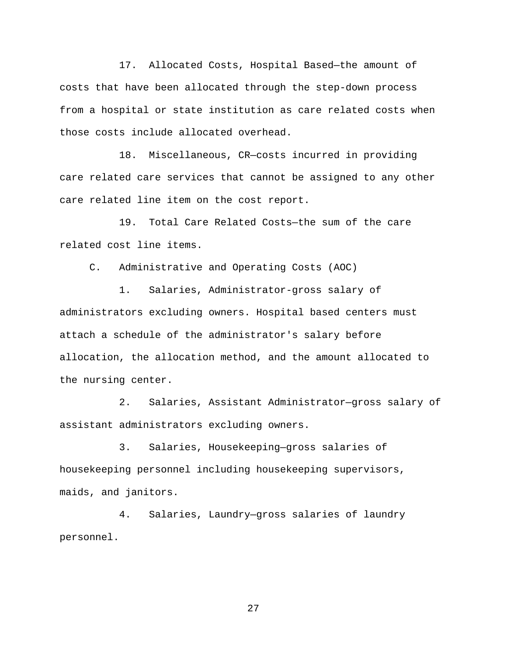17. Allocated Costs, Hospital Based—the amount of costs that have been allocated through the step-down process from a hospital or state institution as care related costs when those costs include allocated overhead.

18. Miscellaneous, CR—costs incurred in providing care related care services that cannot be assigned to any other care related line item on the cost report.

19. Total Care Related Costs—the sum of the care related cost line items.

C. Administrative and Operating Costs (AOC)

1. Salaries, Administrator-gross salary of administrators excluding owners. Hospital based centers must attach a schedule of the administrator's salary before allocation, the allocation method, and the amount allocated to the nursing center.

2. Salaries, Assistant Administrator—gross salary of assistant administrators excluding owners.

3. Salaries, Housekeeping—gross salaries of housekeeping personnel including housekeeping supervisors, maids, and janitors.

4. Salaries, Laundry—gross salaries of laundry personnel.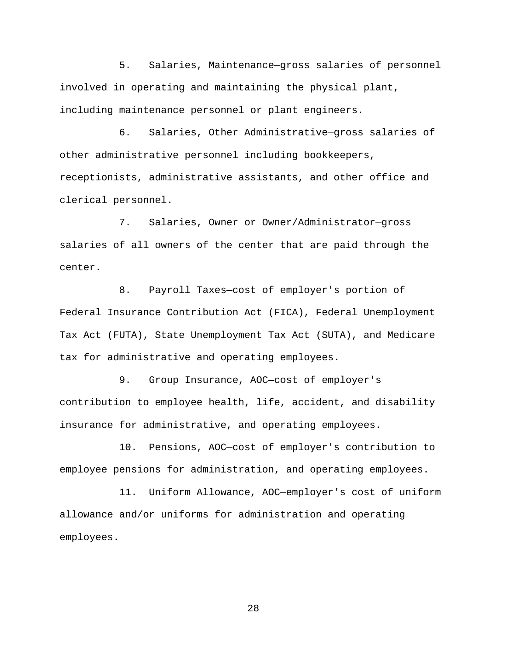5. Salaries, Maintenance—gross salaries of personnel involved in operating and maintaining the physical plant, including maintenance personnel or plant engineers.

6. Salaries, Other Administrative—gross salaries of other administrative personnel including bookkeepers, receptionists, administrative assistants, and other office and clerical personnel.

7. Salaries, Owner or Owner/Administrator—gross salaries of all owners of the center that are paid through the center.

8. Payroll Taxes—cost of employer's portion of Federal Insurance Contribution Act (FICA), Federal Unemployment Tax Act (FUTA), State Unemployment Tax Act (SUTA), and Medicare tax for administrative and operating employees.

9. Group Insurance, AOC—cost of employer's contribution to employee health, life, accident, and disability insurance for administrative, and operating employees.

10. Pensions, AOC—cost of employer's contribution to employee pensions for administration, and operating employees.

11. Uniform Allowance, AOC—employer's cost of uniform allowance and/or uniforms for administration and operating employees.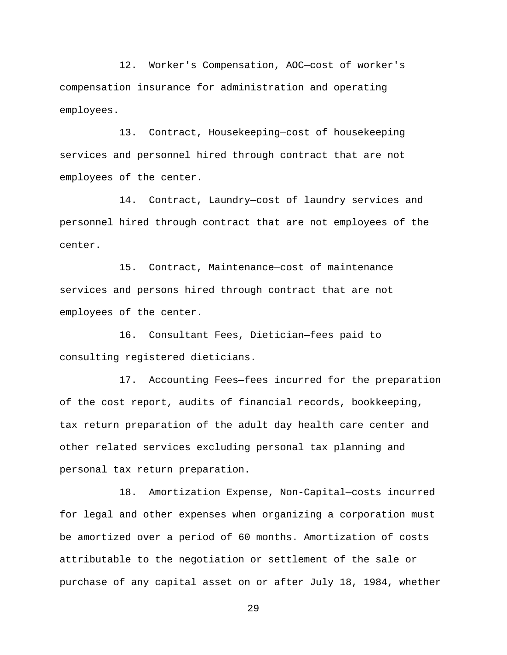12. Worker's Compensation, AOC—cost of worker's compensation insurance for administration and operating employees.

13. Contract, Housekeeping—cost of housekeeping services and personnel hired through contract that are not employees of the center.

14. Contract, Laundry—cost of laundry services and personnel hired through contract that are not employees of the center.

15. Contract, Maintenance—cost of maintenance services and persons hired through contract that are not employees of the center.

16. Consultant Fees, Dietician—fees paid to consulting registered dieticians.

17. Accounting Fees—fees incurred for the preparation of the cost report, audits of financial records, bookkeeping, tax return preparation of the adult day health care center and other related services excluding personal tax planning and personal tax return preparation.

18. Amortization Expense, Non-Capital—costs incurred for legal and other expenses when organizing a corporation must be amortized over a period of 60 months. Amortization of costs attributable to the negotiation or settlement of the sale or purchase of any capital asset on or after July 18, 1984, whether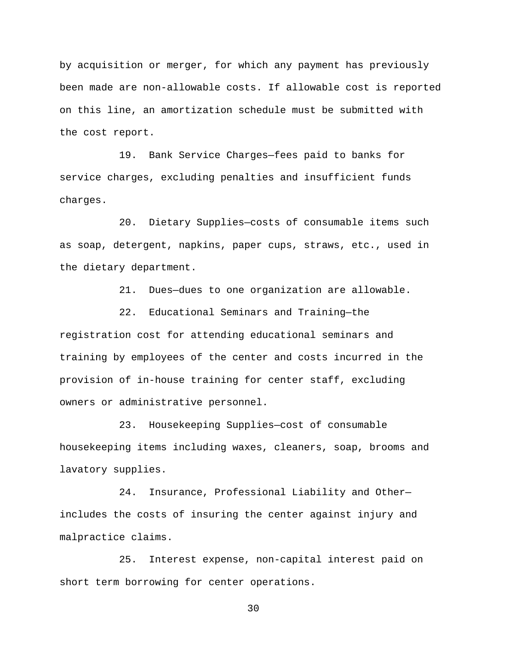by acquisition or merger, for which any payment has previously been made are non-allowable costs. If allowable cost is reported on this line, an amortization schedule must be submitted with the cost report.

19. Bank Service Charges—fees paid to banks for service charges, excluding penalties and insufficient funds charges.

20. Dietary Supplies—costs of consumable items such as soap, detergent, napkins, paper cups, straws, etc., used in the dietary department.

21. Dues—dues to one organization are allowable.

22. Educational Seminars and Training—the registration cost for attending educational seminars and training by employees of the center and costs incurred in the provision of in-house training for center staff, excluding owners or administrative personnel.

23. Housekeeping Supplies—cost of consumable housekeeping items including waxes, cleaners, soap, brooms and lavatory supplies.

24. Insurance, Professional Liability and Other includes the costs of insuring the center against injury and malpractice claims.

25. Interest expense, non-capital interest paid on short term borrowing for center operations.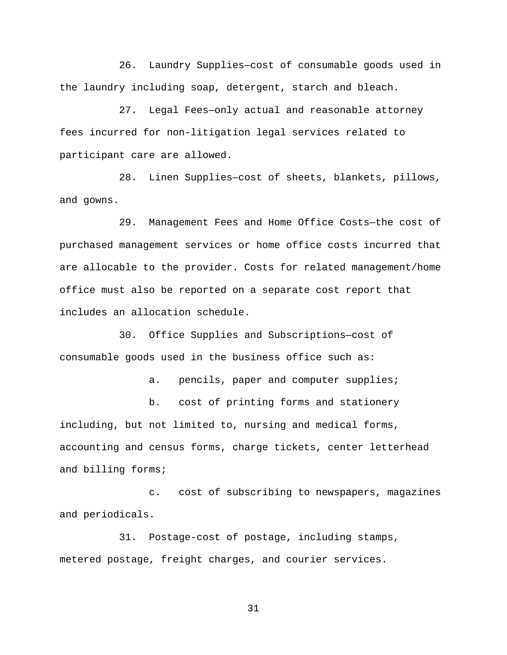26. Laundry Supplies—cost of consumable goods used in the laundry including soap, detergent, starch and bleach.

27. Legal Fees—only actual and reasonable attorney fees incurred for non-litigation legal services related to participant care are allowed.

28. Linen Supplies—cost of sheets, blankets, pillows, and gowns.

29. Management Fees and Home Office Costs—the cost of purchased management services or home office costs incurred that are allocable to the provider. Costs for related management/home office must also be reported on a separate cost report that includes an allocation schedule.

30. Office Supplies and Subscriptions—cost of consumable goods used in the business office such as:

a. pencils, paper and computer supplies;

b. cost of printing forms and stationery including, but not limited to, nursing and medical forms, accounting and census forms, charge tickets, center letterhead and billing forms;

c. cost of subscribing to newspapers, magazines and periodicals.

31. Postage-cost of postage, including stamps, metered postage, freight charges, and courier services.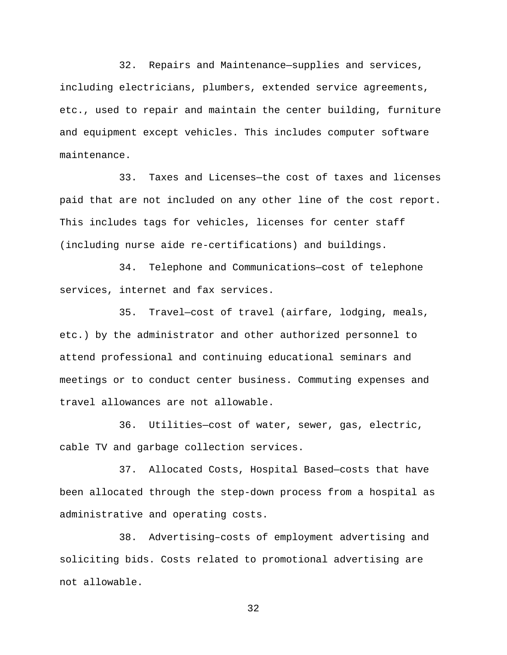32. Repairs and Maintenance—supplies and services, including electricians, plumbers, extended service agreements, etc., used to repair and maintain the center building, furniture and equipment except vehicles. This includes computer software maintenance.

33. Taxes and Licenses—the cost of taxes and licenses paid that are not included on any other line of the cost report. This includes tags for vehicles, licenses for center staff (including nurse aide re-certifications) and buildings.

34. Telephone and Communications—cost of telephone services, internet and fax services.

35. Travel—cost of travel (airfare, lodging, meals, etc.) by the administrator and other authorized personnel to attend professional and continuing educational seminars and meetings or to conduct center business. Commuting expenses and travel allowances are not allowable.

36. Utilities—cost of water, sewer, gas, electric, cable TV and garbage collection services.

37. Allocated Costs, Hospital Based—costs that have been allocated through the step-down process from a hospital as administrative and operating costs.

38. Advertising–costs of employment advertising and soliciting bids. Costs related to promotional advertising are not allowable.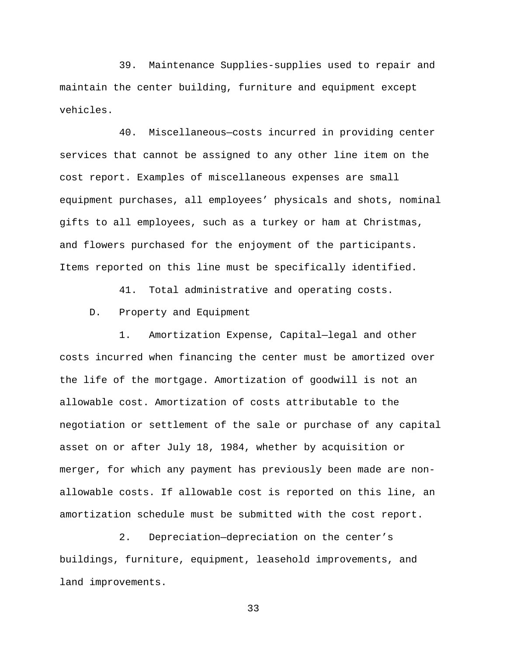39. Maintenance Supplies-supplies used to repair and maintain the center building, furniture and equipment except vehicles.

40. Miscellaneous—costs incurred in providing center services that cannot be assigned to any other line item on the cost report. Examples of miscellaneous expenses are small equipment purchases, all employees' physicals and shots, nominal gifts to all employees, such as a turkey or ham at Christmas, and flowers purchased for the enjoyment of the participants. Items reported on this line must be specifically identified.

41. Total administrative and operating costs.

D. Property and Equipment

1. Amortization Expense, Capital—legal and other costs incurred when financing the center must be amortized over the life of the mortgage. Amortization of goodwill is not an allowable cost. Amortization of costs attributable to the negotiation or settlement of the sale or purchase of any capital asset on or after July 18, 1984, whether by acquisition or merger, for which any payment has previously been made are nonallowable costs. If allowable cost is reported on this line, an amortization schedule must be submitted with the cost report.

2. Depreciation—depreciation on the center's buildings, furniture, equipment, leasehold improvements, and land improvements.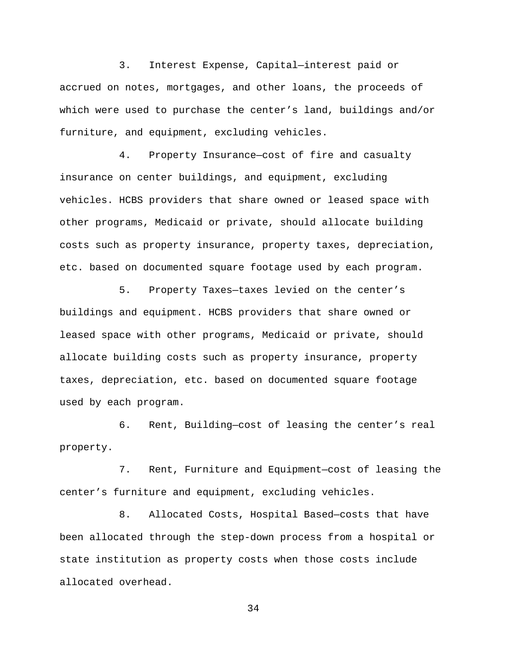3. Interest Expense, Capital—interest paid or accrued on notes, mortgages, and other loans, the proceeds of which were used to purchase the center's land, buildings and/or furniture, and equipment, excluding vehicles.

4. Property Insurance—cost of fire and casualty insurance on center buildings, and equipment, excluding vehicles. HCBS providers that share owned or leased space with other programs, Medicaid or private, should allocate building costs such as property insurance, property taxes, depreciation, etc. based on documented square footage used by each program.

5. Property Taxes—taxes levied on the center's buildings and equipment. HCBS providers that share owned or leased space with other programs, Medicaid or private, should allocate building costs such as property insurance, property taxes, depreciation, etc. based on documented square footage used by each program.

6. Rent, Building—cost of leasing the center's real property.

7. Rent, Furniture and Equipment—cost of leasing the center's furniture and equipment, excluding vehicles.

8. Allocated Costs, Hospital Based—costs that have been allocated through the step-down process from a hospital or state institution as property costs when those costs include allocated overhead.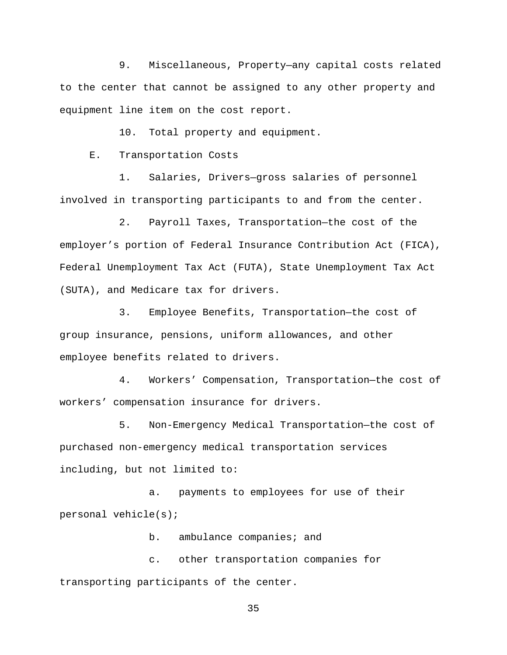9. Miscellaneous, Property—any capital costs related to the center that cannot be assigned to any other property and equipment line item on the cost report.

10. Total property and equipment.

E. Transportation Costs

1. Salaries, Drivers—gross salaries of personnel involved in transporting participants to and from the center.

2. Payroll Taxes, Transportation—the cost of the employer's portion of Federal Insurance Contribution Act (FICA), Federal Unemployment Tax Act (FUTA), State Unemployment Tax Act (SUTA), and Medicare tax for drivers.

3. Employee Benefits, Transportation—the cost of group insurance, pensions, uniform allowances, and other employee benefits related to drivers.

4. Workers' Compensation, Transportation—the cost of workers' compensation insurance for drivers.

5. Non-Emergency Medical Transportation—the cost of purchased non-emergency medical transportation services including, but not limited to:

a. payments to employees for use of their personal vehicle(s);

b. ambulance companies; and

c. other transportation companies for transporting participants of the center.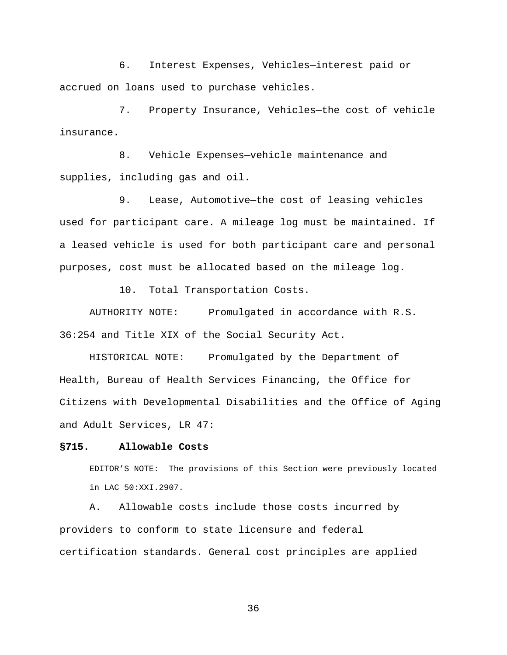6. Interest Expenses, Vehicles—interest paid or accrued on loans used to purchase vehicles.

7. Property Insurance, Vehicles—the cost of vehicle insurance.

8. Vehicle Expenses—vehicle maintenance and supplies, including gas and oil.

9. Lease, Automotive—the cost of leasing vehicles used for participant care. A mileage log must be maintained. If a leased vehicle is used for both participant care and personal purposes, cost must be allocated based on the mileage log.

10. Total Transportation Costs.

AUTHORITY NOTE: Promulgated in accordance with R.S. 36:254 and Title XIX of the Social Security Act.

HISTORICAL NOTE: Promulgated by the Department of Health, Bureau of Health Services Financing, the Office for Citizens with Developmental Disabilities and the Office of Aging and Adult Services, LR 47:

## **§715. Allowable Costs**

EDITOR'S NOTE: The provisions of this Section were previously located in LAC 50:XXI.2907.

A. Allowable costs include those costs incurred by providers to conform to state licensure and federal certification standards. General cost principles are applied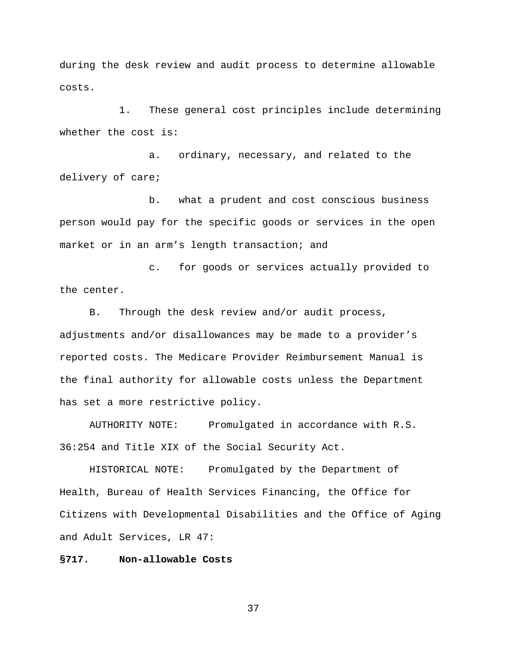during the desk review and audit process to determine allowable costs.

1. These general cost principles include determining whether the cost is:

a. ordinary, necessary, and related to the delivery of care;

b. what a prudent and cost conscious business person would pay for the specific goods or services in the open market or in an arm's length transaction; and

c. for goods or services actually provided to the center.

B. Through the desk review and/or audit process, adjustments and/or disallowances may be made to a provider's reported costs. The Medicare Provider Reimbursement Manual is the final authority for allowable costs unless the Department has set a more restrictive policy.

AUTHORITY NOTE: Promulgated in accordance with R.S. 36:254 and Title XIX of the Social Security Act.

HISTORICAL NOTE: Promulgated by the Department of Health, Bureau of Health Services Financing, the Office for Citizens with Developmental Disabilities and the Office of Aging and Adult Services, LR 47:

## **§717. Non-allowable Costs**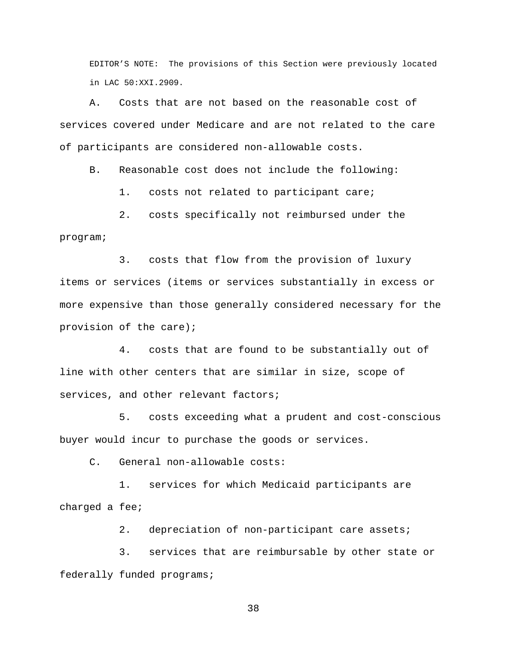EDITOR'S NOTE: The provisions of this Section were previously located in LAC 50:XXI.2909.

A. Costs that are not based on the reasonable cost of services covered under Medicare and are not related to the care of participants are considered non-allowable costs.

B. Reasonable cost does not include the following:

1. costs not related to participant care;

2. costs specifically not reimbursed under the program;

3. costs that flow from the provision of luxury items or services (items or services substantially in excess or more expensive than those generally considered necessary for the provision of the care);

4. costs that are found to be substantially out of line with other centers that are similar in size, scope of services, and other relevant factors;

5. costs exceeding what a prudent and cost-conscious buyer would incur to purchase the goods or services.

C. General non-allowable costs:

1. services for which Medicaid participants are charged a fee;

2. depreciation of non-participant care assets;

3. services that are reimbursable by other state or federally funded programs;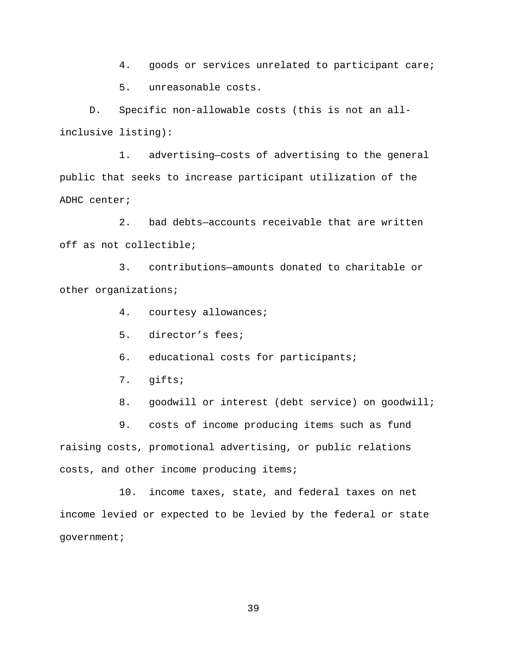4. goods or services unrelated to participant care;

5. unreasonable costs.

D. Specific non-allowable costs (this is not an allinclusive listing):

1. advertising—costs of advertising to the general public that seeks to increase participant utilization of the ADHC center;

2. bad debts—accounts receivable that are written off as not collectible;

3. contributions—amounts donated to charitable or other organizations;

- 4. courtesy allowances;
- 5. director's fees;
- 6. educational costs for participants;
- 7. gifts;
- 8. goodwill or interest (debt service) on goodwill;

9. costs of income producing items such as fund raising costs, promotional advertising, or public relations costs, and other income producing items;

10. income taxes, state, and federal taxes on net income levied or expected to be levied by the federal or state government;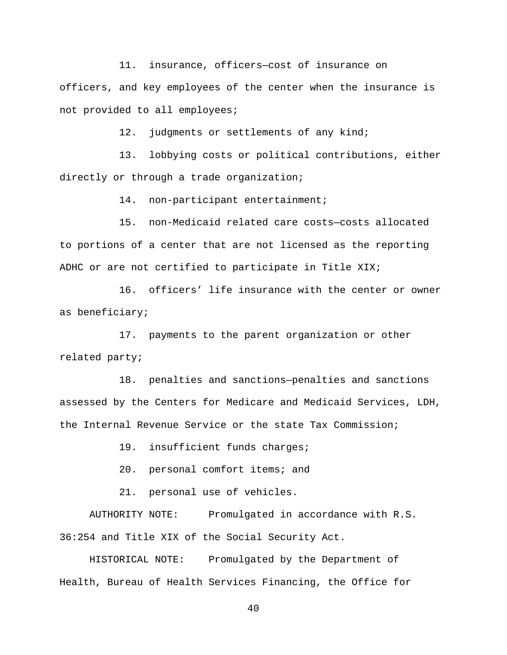11. insurance, officers—cost of insurance on officers, and key employees of the center when the insurance is not provided to all employees;

12. judgments or settlements of any kind;

13. lobbying costs or political contributions, either directly or through a trade organization;

14. non-participant entertainment;

15. non-Medicaid related care costs—costs allocated to portions of a center that are not licensed as the reporting ADHC or are not certified to participate in Title XIX;

16. officers' life insurance with the center or owner as beneficiary;

17. payments to the parent organization or other related party;

18. penalties and sanctions—penalties and sanctions assessed by the Centers for Medicare and Medicaid Services, LDH, the Internal Revenue Service or the state Tax Commission;

19. insufficient funds charges;

20. personal comfort items; and

21. personal use of vehicles.

AUTHORITY NOTE: Promulgated in accordance with R.S. 36:254 and Title XIX of the Social Security Act.

HISTORICAL NOTE: Promulgated by the Department of Health, Bureau of Health Services Financing, the Office for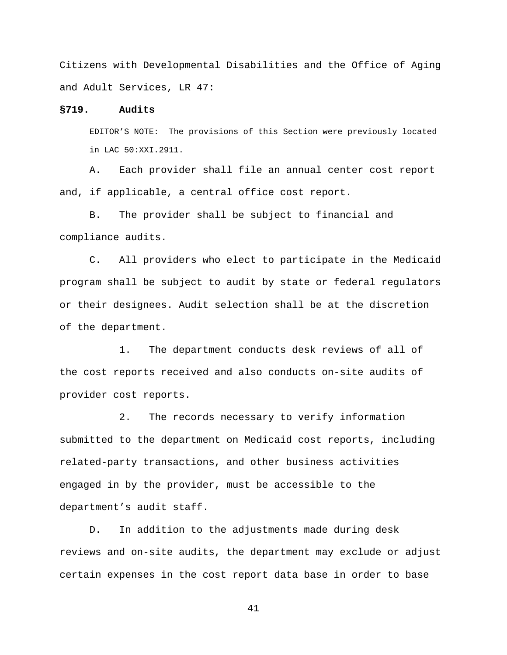Citizens with Developmental Disabilities and the Office of Aging and Adult Services, LR 47:

### **§719. Audits**

EDITOR'S NOTE: The provisions of this Section were previously located in LAC 50:XXI.2911.

A. Each provider shall file an annual center cost report and, if applicable, a central office cost report.

B. The provider shall be subject to financial and compliance audits.

C. All providers who elect to participate in the Medicaid program shall be subject to audit by state or federal regulators or their designees. Audit selection shall be at the discretion of the department.

1. The department conducts desk reviews of all of the cost reports received and also conducts on-site audits of provider cost reports.

2. The records necessary to verify information submitted to the department on Medicaid cost reports, including related-party transactions, and other business activities engaged in by the provider, must be accessible to the department's audit staff.

D. In addition to the adjustments made during desk reviews and on-site audits, the department may exclude or adjust certain expenses in the cost report data base in order to base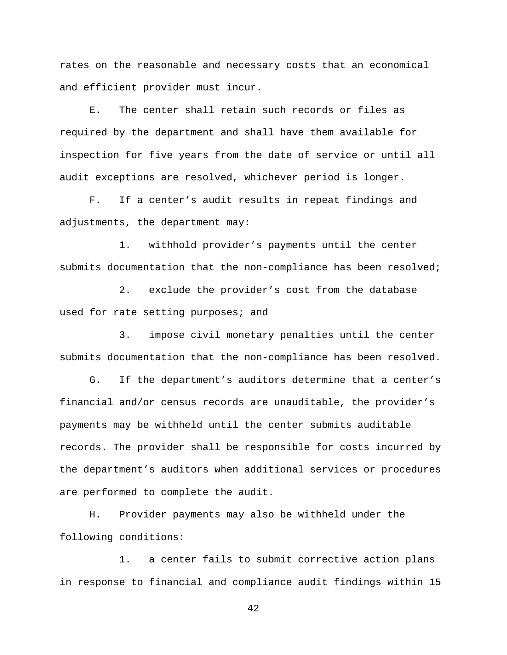rates on the reasonable and necessary costs that an economical and efficient provider must incur.

E. The center shall retain such records or files as required by the department and shall have them available for inspection for five years from the date of service or until all audit exceptions are resolved, whichever period is longer.

F. If a center's audit results in repeat findings and adjustments, the department may:

1. withhold provider's payments until the center submits documentation that the non-compliance has been resolved;

2. exclude the provider's cost from the database used for rate setting purposes; and

3. impose civil monetary penalties until the center submits documentation that the non-compliance has been resolved.

G. If the department's auditors determine that a center's financial and/or census records are unauditable, the provider's payments may be withheld until the center submits auditable records. The provider shall be responsible for costs incurred by the department's auditors when additional services or procedures are performed to complete the audit.

H. Provider payments may also be withheld under the following conditions:

1. a center fails to submit corrective action plans in response to financial and compliance audit findings within 15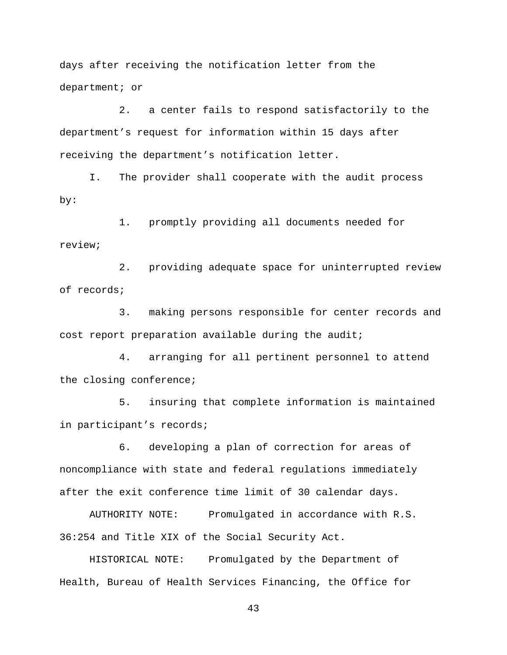days after receiving the notification letter from the department; or

2. a center fails to respond satisfactorily to the department's request for information within 15 days after receiving the department's notification letter.

I. The provider shall cooperate with the audit process by:

1. promptly providing all documents needed for review;

2. providing adequate space for uninterrupted review of records;

3. making persons responsible for center records and cost report preparation available during the audit;

4. arranging for all pertinent personnel to attend the closing conference;

5. insuring that complete information is maintained in participant's records;

6. developing a plan of correction for areas of noncompliance with state and federal regulations immediately after the exit conference time limit of 30 calendar days.

AUTHORITY NOTE: Promulgated in accordance with R.S. 36:254 and Title XIX of the Social Security Act.

HISTORICAL NOTE: Promulgated by the Department of Health, Bureau of Health Services Financing, the Office for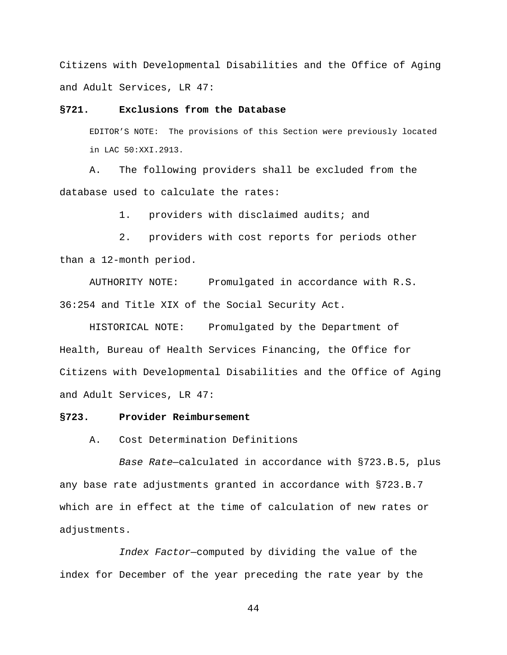Citizens with Developmental Disabilities and the Office of Aging and Adult Services, LR 47:

### **§721. Exclusions from the Database**

EDITOR'S NOTE: The provisions of this Section were previously located in LAC 50:XXI.2913.

A. The following providers shall be excluded from the database used to calculate the rates:

1. providers with disclaimed audits; and

2. providers with cost reports for periods other than a 12-month period.

AUTHORITY NOTE: Promulgated in accordance with R.S. 36:254 and Title XIX of the Social Security Act.

HISTORICAL NOTE: Promulgated by the Department of Health, Bureau of Health Services Financing, the Office for Citizens with Developmental Disabilities and the Office of Aging and Adult Services, LR 47:

#### **§723. Provider Reimbursement**

### A. Cost Determination Definitions

*Base Rate*—calculated in accordance with §723.B.5, plus any base rate adjustments granted in accordance with §723.B.7 which are in effect at the time of calculation of new rates or adjustments.

*Index Factor*—computed by dividing the value of the index for December of the year preceding the rate year by the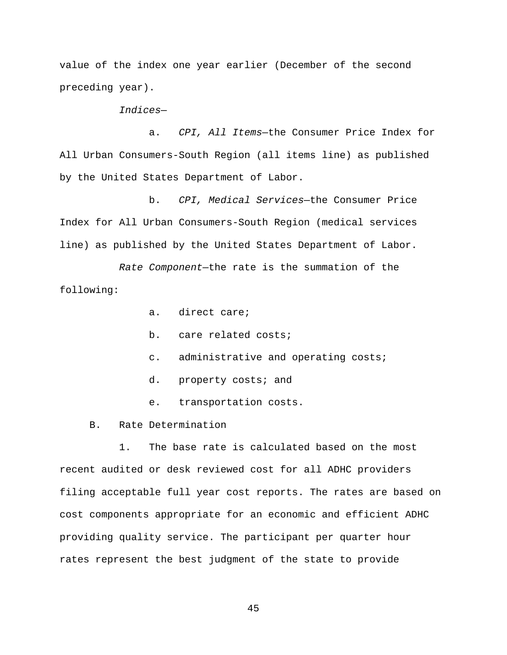value of the index one year earlier (December of the second preceding year).

*Indices*—

a. *CPI, All Items*—the Consumer Price Index for All Urban Consumers-South Region (all items line) as published by the United States Department of Labor.

b. *CPI, Medical Services*—the Consumer Price Index for All Urban Consumers-South Region (medical services line) as published by the United States Department of Labor.

*Rate Component*—the rate is the summation of the following:

- a. direct care;
- b. care related costs;
- c. administrative and operating costs;
- d. property costs; and
- e. transportation costs.
- B. Rate Determination

1. The base rate is calculated based on the most recent audited or desk reviewed cost for all ADHC providers filing acceptable full year cost reports. The rates are based on cost components appropriate for an economic and efficient ADHC providing quality service. The participant per quarter hour rates represent the best judgment of the state to provide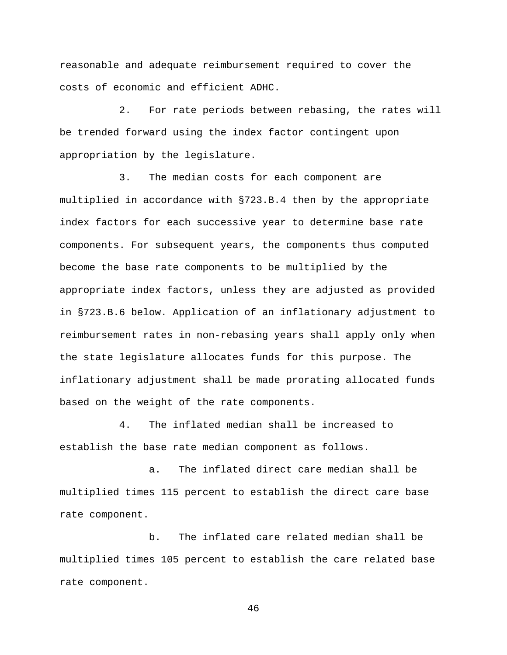reasonable and adequate reimbursement required to cover the costs of economic and efficient ADHC.

2. For rate periods between rebasing, the rates will be trended forward using the index factor contingent upon appropriation by the legislature.

3. The median costs for each component are multiplied in accordance with §723.B.4 then by the appropriate index factors for each successive year to determine base rate components. For subsequent years, the components thus computed become the base rate components to be multiplied by the appropriate index factors, unless they are adjusted as provided in §723.B.6 below. Application of an inflationary adjustment to reimbursement rates in non-rebasing years shall apply only when the state legislature allocates funds for this purpose. The inflationary adjustment shall be made prorating allocated funds based on the weight of the rate components.

4. The inflated median shall be increased to establish the base rate median component as follows.

a. The inflated direct care median shall be multiplied times 115 percent to establish the direct care base rate component.

b. The inflated care related median shall be multiplied times 105 percent to establish the care related base rate component.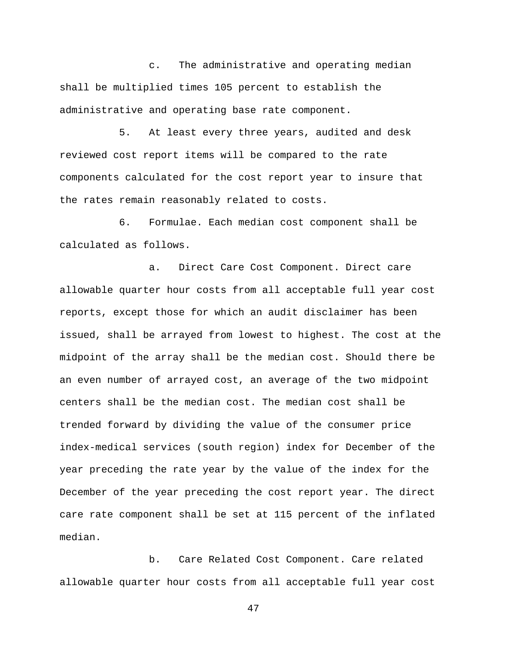c. The administrative and operating median shall be multiplied times 105 percent to establish the administrative and operating base rate component.

5. At least every three years, audited and desk reviewed cost report items will be compared to the rate components calculated for the cost report year to insure that the rates remain reasonably related to costs.

6. Formulae. Each median cost component shall be calculated as follows.

a. Direct Care Cost Component. Direct care allowable quarter hour costs from all acceptable full year cost reports, except those for which an audit disclaimer has been issued, shall be arrayed from lowest to highest. The cost at the midpoint of the array shall be the median cost. Should there be an even number of arrayed cost, an average of the two midpoint centers shall be the median cost. The median cost shall be trended forward by dividing the value of the consumer price index-medical services (south region) index for December of the year preceding the rate year by the value of the index for the December of the year preceding the cost report year. The direct care rate component shall be set at 115 percent of the inflated median.

b. Care Related Cost Component. Care related allowable quarter hour costs from all acceptable full year cost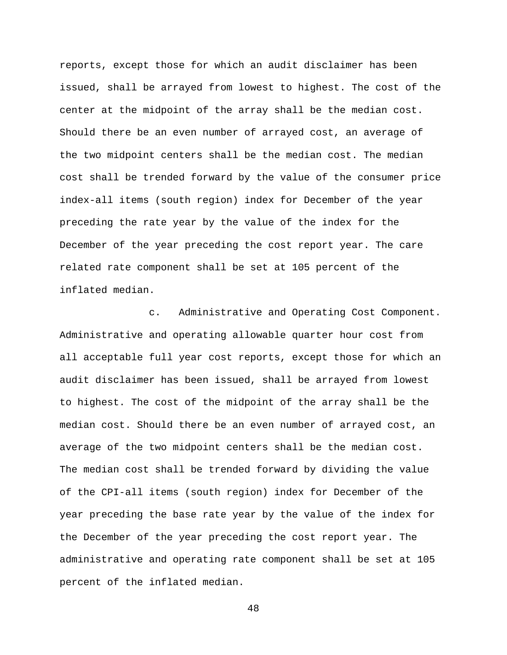reports, except those for which an audit disclaimer has been issued, shall be arrayed from lowest to highest. The cost of the center at the midpoint of the array shall be the median cost. Should there be an even number of arrayed cost, an average of the two midpoint centers shall be the median cost. The median cost shall be trended forward by the value of the consumer price index-all items (south region) index for December of the year preceding the rate year by the value of the index for the December of the year preceding the cost report year. The care related rate component shall be set at 105 percent of the inflated median.

c. Administrative and Operating Cost Component. Administrative and operating allowable quarter hour cost from all acceptable full year cost reports, except those for which an audit disclaimer has been issued, shall be arrayed from lowest to highest. The cost of the midpoint of the array shall be the median cost. Should there be an even number of arrayed cost, an average of the two midpoint centers shall be the median cost. The median cost shall be trended forward by dividing the value of the CPI-all items (south region) index for December of the year preceding the base rate year by the value of the index for the December of the year preceding the cost report year. The administrative and operating rate component shall be set at 105 percent of the inflated median.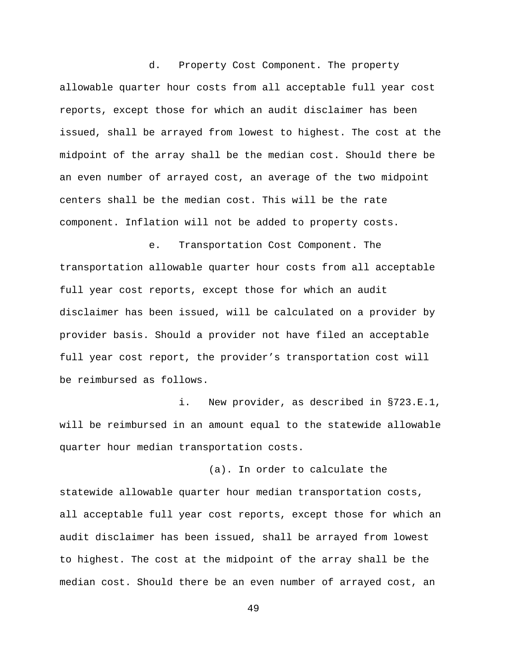d. Property Cost Component. The property allowable quarter hour costs from all acceptable full year cost reports, except those for which an audit disclaimer has been issued, shall be arrayed from lowest to highest. The cost at the midpoint of the array shall be the median cost. Should there be an even number of arrayed cost, an average of the two midpoint centers shall be the median cost. This will be the rate component. Inflation will not be added to property costs.

e. Transportation Cost Component. The transportation allowable quarter hour costs from all acceptable full year cost reports, except those for which an audit disclaimer has been issued, will be calculated on a provider by provider basis. Should a provider not have filed an acceptable full year cost report, the provider's transportation cost will be reimbursed as follows.

i. New provider, as described in §723.E.1, will be reimbursed in an amount equal to the statewide allowable quarter hour median transportation costs.

(a). In order to calculate the statewide allowable quarter hour median transportation costs, all acceptable full year cost reports, except those for which an audit disclaimer has been issued, shall be arrayed from lowest to highest. The cost at the midpoint of the array shall be the median cost. Should there be an even number of arrayed cost, an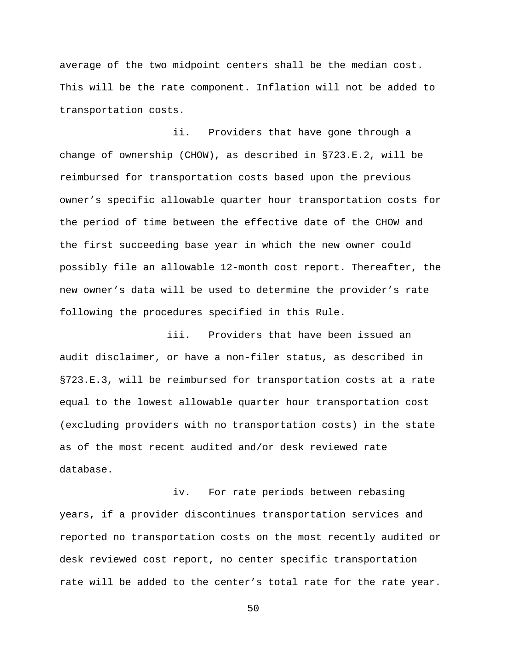average of the two midpoint centers shall be the median cost. This will be the rate component. Inflation will not be added to transportation costs.

 ii. Providers that have gone through a change of ownership (CHOW), as described in §723.E.2, will be reimbursed for transportation costs based upon the previous owner's specific allowable quarter hour transportation costs for the period of time between the effective date of the CHOW and the first succeeding base year in which the new owner could possibly file an allowable 12-month cost report. Thereafter, the new owner's data will be used to determine the provider's rate following the procedures specified in this Rule.

 iii. Providers that have been issued an audit disclaimer, or have a non-filer status, as described in §723.E.3, will be reimbursed for transportation costs at a rate equal to the lowest allowable quarter hour transportation cost (excluding providers with no transportation costs) in the state as of the most recent audited and/or desk reviewed rate database.

 iv. For rate periods between rebasing years, if a provider discontinues transportation services and reported no transportation costs on the most recently audited or desk reviewed cost report, no center specific transportation rate will be added to the center's total rate for the rate year.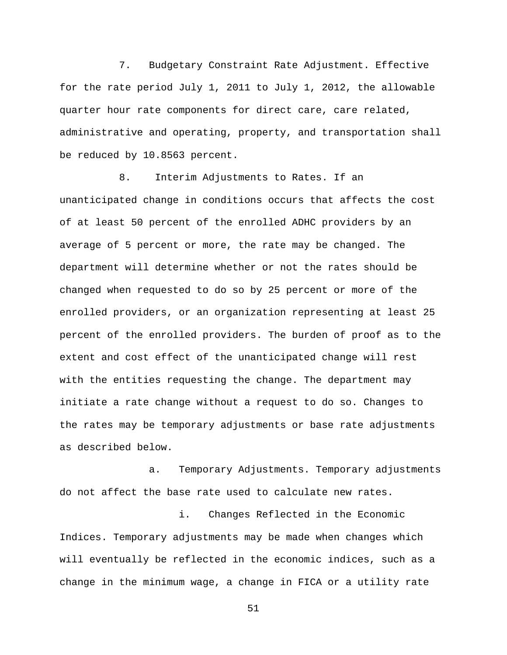7. Budgetary Constraint Rate Adjustment. Effective for the rate period July 1, 2011 to July 1, 2012, the allowable quarter hour rate components for direct care, care related, administrative and operating, property, and transportation shall be reduced by 10.8563 percent.

8. Interim Adjustments to Rates. If an unanticipated change in conditions occurs that affects the cost of at least 50 percent of the enrolled ADHC providers by an average of 5 percent or more, the rate may be changed. The department will determine whether or not the rates should be changed when requested to do so by 25 percent or more of the enrolled providers, or an organization representing at least 25 percent of the enrolled providers. The burden of proof as to the extent and cost effect of the unanticipated change will rest with the entities requesting the change. The department may initiate a rate change without a request to do so. Changes to the rates may be temporary adjustments or base rate adjustments as described below.

a. Temporary Adjustments. Temporary adjustments do not affect the base rate used to calculate new rates.

i. Changes Reflected in the Economic Indices. Temporary adjustments may be made when changes which will eventually be reflected in the economic indices, such as a change in the minimum wage, a change in FICA or a utility rate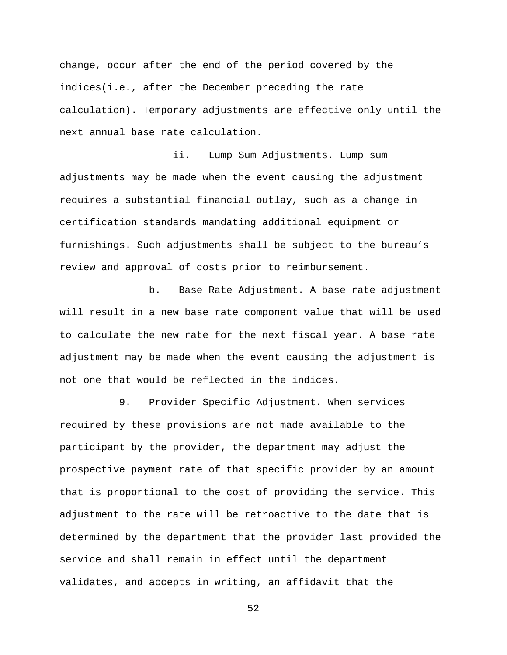change, occur after the end of the period covered by the indices(i.e., after the December preceding the rate calculation). Temporary adjustments are effective only until the next annual base rate calculation.

 ii. Lump Sum Adjustments. Lump sum adjustments may be made when the event causing the adjustment requires a substantial financial outlay, such as a change in certification standards mandating additional equipment or furnishings. Such adjustments shall be subject to the bureau's review and approval of costs prior to reimbursement.

b. Base Rate Adjustment. A base rate adjustment will result in a new base rate component value that will be used to calculate the new rate for the next fiscal year. A base rate adjustment may be made when the event causing the adjustment is not one that would be reflected in the indices.

9. Provider Specific Adjustment. When services required by these provisions are not made available to the participant by the provider, the department may adjust the prospective payment rate of that specific provider by an amount that is proportional to the cost of providing the service. This adjustment to the rate will be retroactive to the date that is determined by the department that the provider last provided the service and shall remain in effect until the department validates, and accepts in writing, an affidavit that the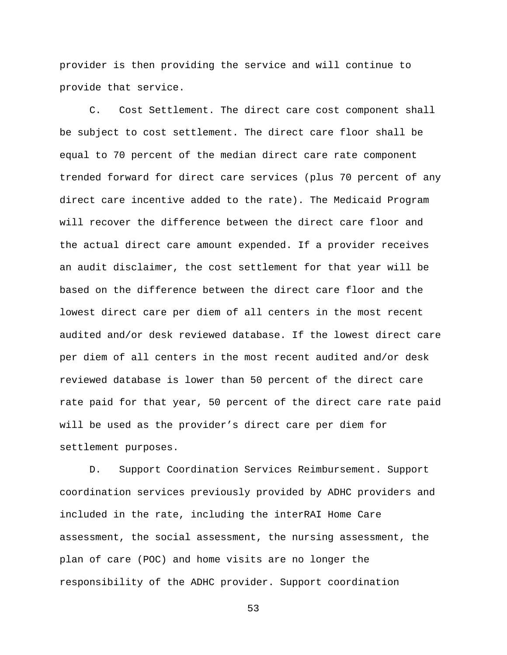provider is then providing the service and will continue to provide that service.

C. Cost Settlement. The direct care cost component shall be subject to cost settlement. The direct care floor shall be equal to 70 percent of the median direct care rate component trended forward for direct care services (plus 70 percent of any direct care incentive added to the rate). The Medicaid Program will recover the difference between the direct care floor and the actual direct care amount expended. If a provider receives an audit disclaimer, the cost settlement for that year will be based on the difference between the direct care floor and the lowest direct care per diem of all centers in the most recent audited and/or desk reviewed database. If the lowest direct care per diem of all centers in the most recent audited and/or desk reviewed database is lower than 50 percent of the direct care rate paid for that year, 50 percent of the direct care rate paid will be used as the provider's direct care per diem for settlement purposes.

D. Support Coordination Services Reimbursement. Support coordination services previously provided by ADHC providers and included in the rate, including the interRAI Home Care assessment, the social assessment, the nursing assessment, the plan of care (POC) and home visits are no longer the responsibility of the ADHC provider. Support coordination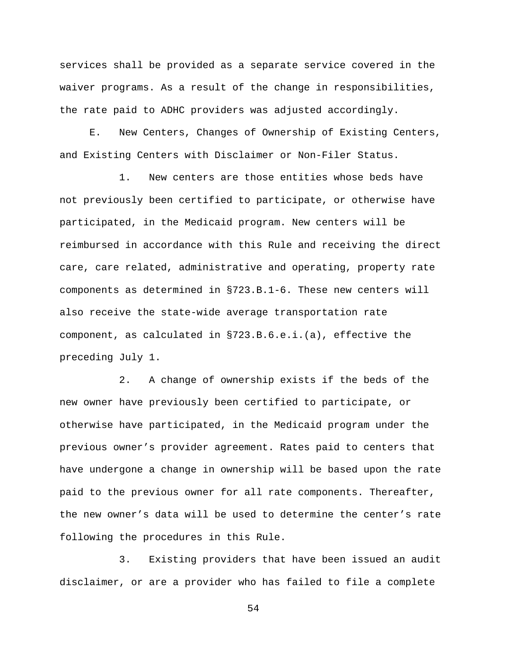services shall be provided as a separate service covered in the waiver programs. As a result of the change in responsibilities, the rate paid to ADHC providers was adjusted accordingly.

E. New Centers, Changes of Ownership of Existing Centers, and Existing Centers with Disclaimer or Non-Filer Status.

1. New centers are those entities whose beds have not previously been certified to participate, or otherwise have participated, in the Medicaid program. New centers will be reimbursed in accordance with this Rule and receiving the direct care, care related, administrative and operating, property rate components as determined in §723.B.1-6. These new centers will also receive the state-wide average transportation rate component, as calculated in §723.B.6.e.i.(a), effective the preceding July 1.

2. A change of ownership exists if the beds of the new owner have previously been certified to participate, or otherwise have participated, in the Medicaid program under the previous owner's provider agreement. Rates paid to centers that have undergone a change in ownership will be based upon the rate paid to the previous owner for all rate components. Thereafter, the new owner's data will be used to determine the center's rate following the procedures in this Rule.

3. Existing providers that have been issued an audit disclaimer, or are a provider who has failed to file a complete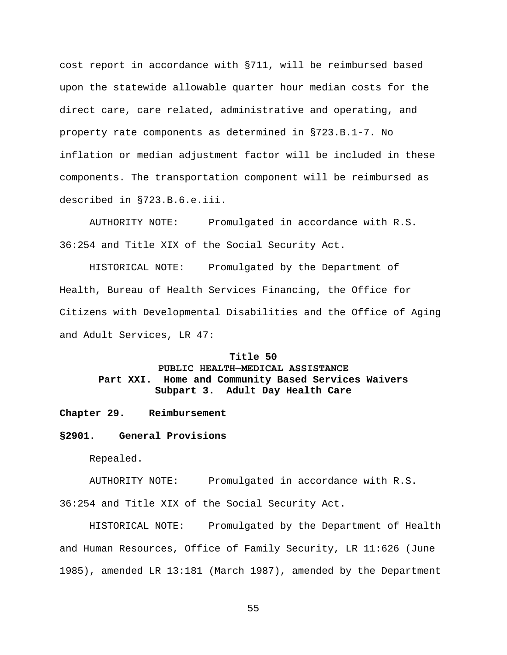cost report in accordance with §711, will be reimbursed based upon the statewide allowable quarter hour median costs for the direct care, care related, administrative and operating, and property rate components as determined in §723.B.1-7. No inflation or median adjustment factor will be included in these components. The transportation component will be reimbursed as described in §723.B.6.e.iii.

AUTHORITY NOTE: Promulgated in accordance with R.S. 36:254 and Title XIX of the Social Security Act.

HISTORICAL NOTE: Promulgated by the Department of Health, Bureau of Health Services Financing, the Office for Citizens with Developmental Disabilities and the Office of Aging and Adult Services, LR 47:

### **Title 50**

# **PUBLIC HEALTH─MEDICAL ASSISTANCE Part XXI. Home and Community Based Services Waivers Subpart 3. Adult Day Health Care**

#### **Chapter 29. Reimbursement**

### **§2901. General Provisions**

Repealed.

AUTHORITY NOTE: Promulgated in accordance with R.S.

36:254 and Title XIX of the Social Security Act.

HISTORICAL NOTE: Promulgated by the Department of Health and Human Resources, Office of Family Security, LR 11:626 (June 1985), amended LR 13:181 (March 1987), amended by the Department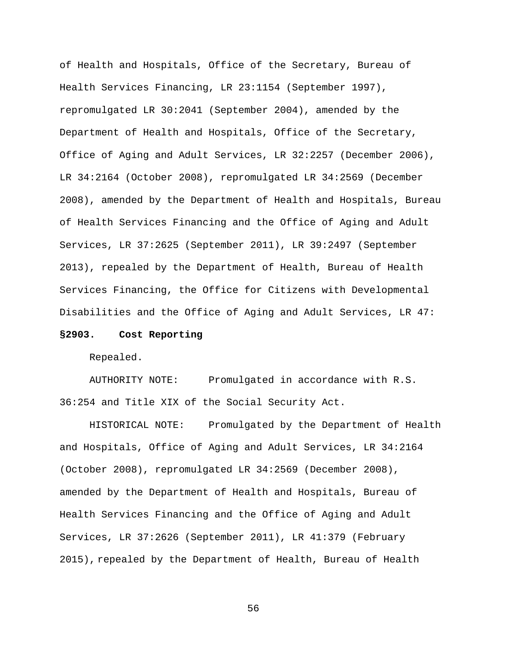of Health and Hospitals, Office of the Secretary, Bureau of Health Services Financing, LR 23:1154 (September 1997), repromulgated LR 30:2041 (September 2004), amended by the Department of Health and Hospitals, Office of the Secretary, Office of Aging and Adult Services, LR 32:2257 (December 2006), LR 34:2164 (October 2008), repromulgated LR 34:2569 (December 2008), amended by the Department of Health and Hospitals, Bureau of Health Services Financing and the Office of Aging and Adult Services, LR 37:2625 (September 2011), LR 39:2497 (September 2013), repealed by the Department of Health, Bureau of Health Services Financing, the Office for Citizens with Developmental Disabilities and the Office of Aging and Adult Services, LR 47:

### **§2903. Cost Reporting**

Repealed.

AUTHORITY NOTE: Promulgated in accordance with R.S. 36:254 and Title XIX of the Social Security Act.

HISTORICAL NOTE: Promulgated by the Department of Health and Hospitals, Office of Aging and Adult Services, LR 34:2164 (October 2008), repromulgated LR 34:2569 (December 2008), amended by the Department of Health and Hospitals, Bureau of Health Services Financing and the Office of Aging and Adult Services, LR 37:2626 (September 2011), LR 41:379 (February 2015), repealed by the Department of Health, Bureau of Health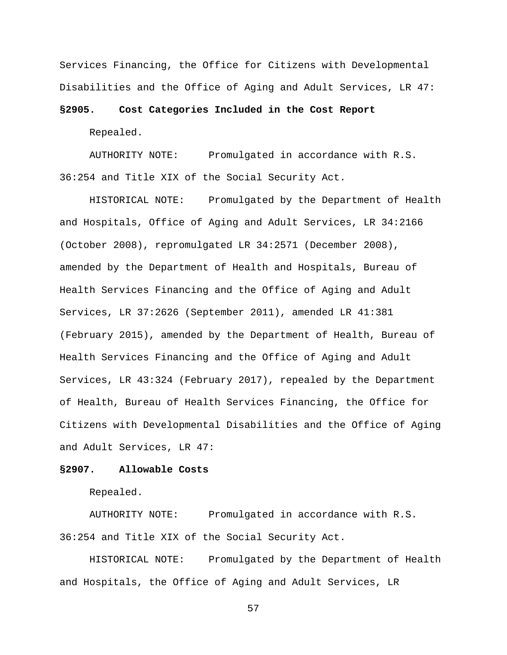Services Financing, the Office for Citizens with Developmental Disabilities and the Office of Aging and Adult Services, LR 47:

### **§2905. Cost Categories Included in the Cost Report**

Repealed.

AUTHORITY NOTE: Promulgated in accordance with R.S. 36:254 and Title XIX of the Social Security Act.

HISTORICAL NOTE: Promulgated by the Department of Health and Hospitals, Office of Aging and Adult Services, LR 34:2166 (October 2008), repromulgated LR 34:2571 (December 2008), amended by the Department of Health and Hospitals, Bureau of Health Services Financing and the Office of Aging and Adult Services, LR 37:2626 (September 2011), amended LR 41:381 (February 2015), amended by the Department of Health, Bureau of Health Services Financing and the Office of Aging and Adult Services, LR 43:324 (February 2017), repealed by the Department of Health, Bureau of Health Services Financing, the Office for Citizens with Developmental Disabilities and the Office of Aging and Adult Services, LR 47:

#### **§2907. Allowable Costs**

Repealed.

AUTHORITY NOTE: Promulgated in accordance with R.S. 36:254 and Title XIX of the Social Security Act.

HISTORICAL NOTE: Promulgated by the Department of Health and Hospitals, the Office of Aging and Adult Services, LR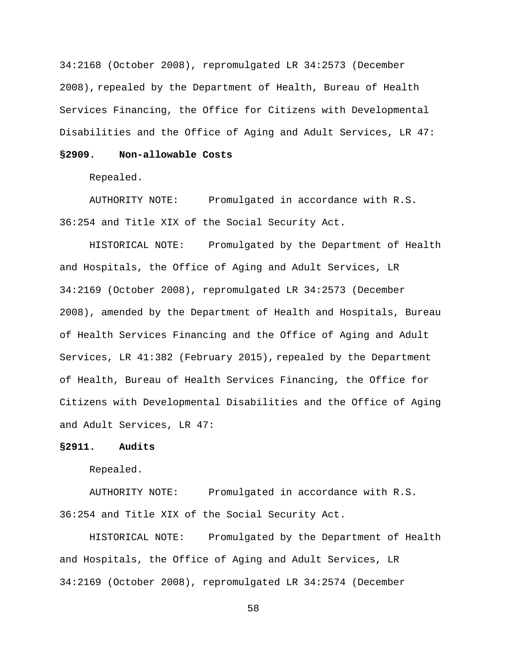34:2168 (October 2008), repromulgated LR 34:2573 (December 2008), repealed by the Department of Health, Bureau of Health Services Financing, the Office for Citizens with Developmental Disabilities and the Office of Aging and Adult Services, LR 47:

### **§2909. Non-allowable Costs**

Repealed.

AUTHORITY NOTE: Promulgated in accordance with R.S. 36:254 and Title XIX of the Social Security Act.

HISTORICAL NOTE: Promulgated by the Department of Health and Hospitals, the Office of Aging and Adult Services, LR 34:2169 (October 2008), repromulgated LR 34:2573 (December 2008), amended by the Department of Health and Hospitals, Bureau of Health Services Financing and the Office of Aging and Adult Services, LR 41:382 (February 2015), repealed by the Department of Health, Bureau of Health Services Financing, the Office for Citizens with Developmental Disabilities and the Office of Aging and Adult Services, LR 47:

### **§2911. Audits**

Repealed.

AUTHORITY NOTE: Promulgated in accordance with R.S. 36:254 and Title XIX of the Social Security Act.

HISTORICAL NOTE: Promulgated by the Department of Health and Hospitals, the Office of Aging and Adult Services, LR 34:2169 (October 2008), repromulgated LR 34:2574 (December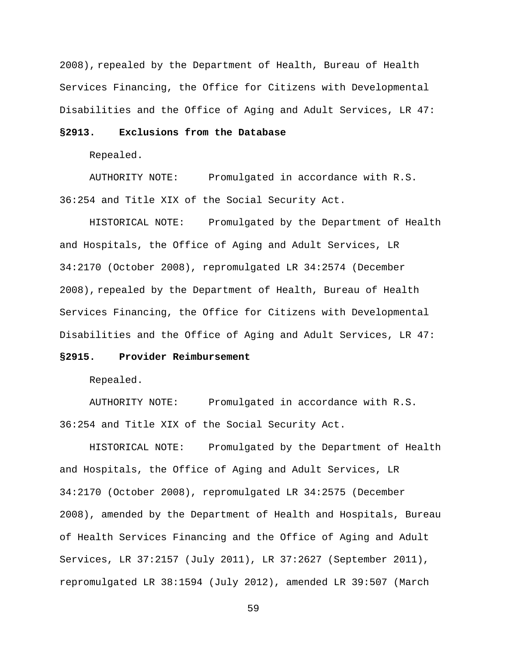2008), repealed by the Department of Health, Bureau of Health Services Financing, the Office for Citizens with Developmental Disabilities and the Office of Aging and Adult Services, LR 47:

## **§2913. Exclusions from the Database**

Repealed.

AUTHORITY NOTE: Promulgated in accordance with R.S. 36:254 and Title XIX of the Social Security Act.

HISTORICAL NOTE: Promulgated by the Department of Health and Hospitals, the Office of Aging and Adult Services, LR 34:2170 (October 2008), repromulgated LR 34:2574 (December 2008), repealed by the Department of Health, Bureau of Health Services Financing, the Office for Citizens with Developmental Disabilities and the Office of Aging and Adult Services, LR 47:

### **§2915. Provider Reimbursement**

Repealed.

AUTHORITY NOTE: Promulgated in accordance with R.S. 36:254 and Title XIX of the Social Security Act.

HISTORICAL NOTE: Promulgated by the Department of Health and Hospitals, the Office of Aging and Adult Services, LR 34:2170 (October 2008), repromulgated LR 34:2575 (December 2008), amended by the Department of Health and Hospitals, Bureau of Health Services Financing and the Office of Aging and Adult Services, LR 37:2157 (July 2011), LR 37:2627 (September 2011), repromulgated LR 38:1594 (July 2012), amended LR 39:507 (March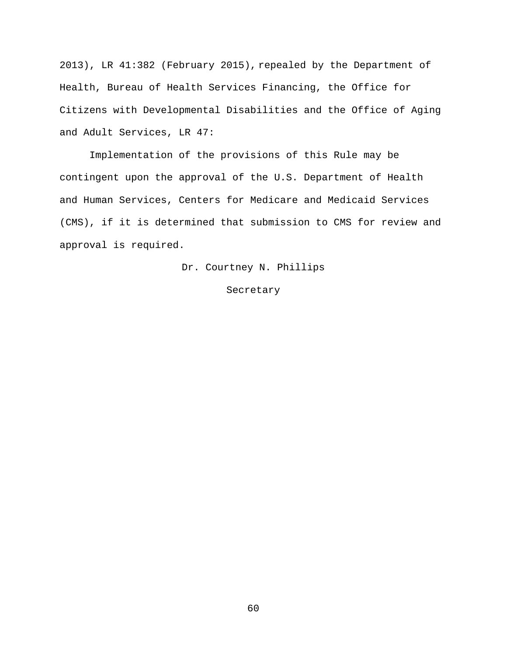2013), LR 41:382 (February 2015), repealed by the Department of Health, Bureau of Health Services Financing, the Office for Citizens with Developmental Disabilities and the Office of Aging and Adult Services, LR 47:

Implementation of the provisions of this Rule may be contingent upon the approval of the U.S. Department of Health and Human Services, Centers for Medicare and Medicaid Services (CMS), if it is determined that submission to CMS for review and approval is required.

Dr. Courtney N. Phillips

Secretary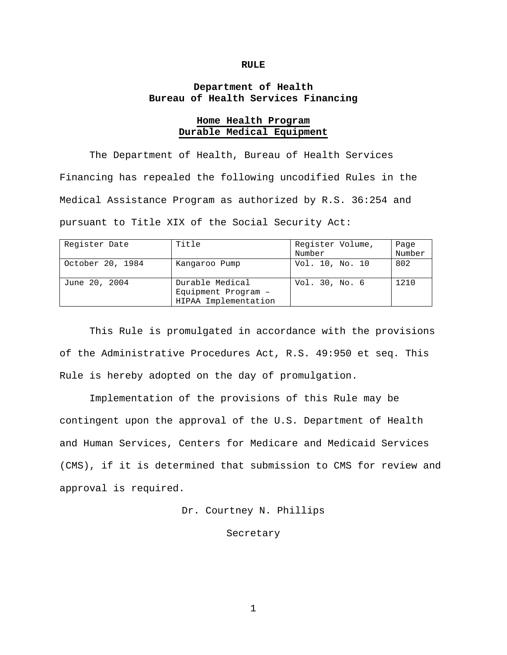#### **RULE**

# **Department of Health Bureau of Health Services Financing**

### **Home Health Program Durable Medical Equipment**

The Department of Health, Bureau of Health Services Financing has repealed the following uncodified Rules in the Medical Assistance Program as authorized by R.S. 36:254 and pursuant to Title XIX of the Social Security Act:

| Register Date    | Title                                                          | Register Volume,<br>Number | Page<br>Number |
|------------------|----------------------------------------------------------------|----------------------------|----------------|
| October 20, 1984 | Kangaroo Pump                                                  | Vol. 10, No. 10            | 802            |
| June 20, 2004    | Durable Medical<br>Equipment Program -<br>HIPAA Implementation | Vol. 30, No. 6             | 1210           |

This Rule is promulgated in accordance with the provisions of the Administrative Procedures Act, R.S. 49:950 et seq. This Rule is hereby adopted on the day of promulgation.

Implementation of the provisions of this Rule may be contingent upon the approval of the U.S. Department of Health and Human Services, Centers for Medicare and Medicaid Services (CMS), if it is determined that submission to CMS for review and approval is required.

Dr. Courtney N. Phillips

Secretary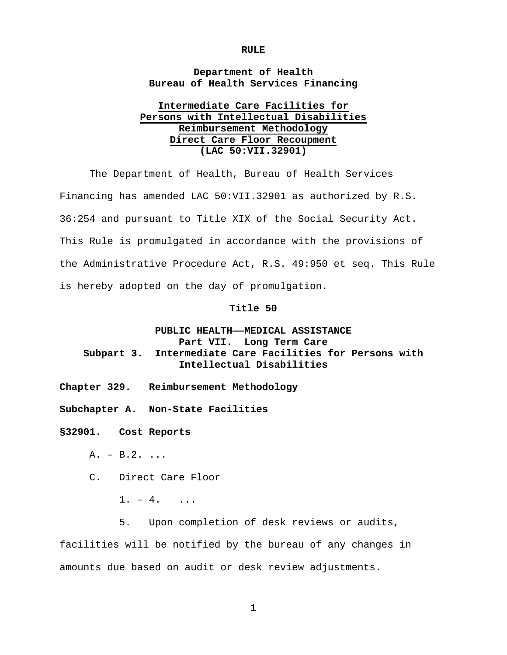#### **RULE**

# **Department of Health Bureau of Health Services Financing**

# **Intermediate Care Facilities for Persons with Intellectual Disabilities Reimbursement Methodology Direct Care Floor Recoupment (LAC 50:VII.32901)**

The Department of Health, Bureau of Health Services Financing has amended LAC 50:VII.32901 as authorized by R.S. 36:254 and pursuant to Title XIX of the Social Security Act. This Rule is promulgated in accordance with the provisions of the Administrative Procedure Act, R.S. 49:950 et seq. This Rule is hereby adopted on the day of promulgation.

#### **Title 50**

# **PUBLIC HEALTH——MEDICAL ASSISTANCE Part VII. Long Term Care Subpart 3. Intermediate Care Facilities for Persons with Intellectual Disabilities**

- **Chapter 329. Reimbursement Methodology**
- **Subchapter A. Non-State Facilities**

**§32901. Cost Reports**

 $A. - B.2. ...$ 

C. Direct Care Floor

- $1. 4.$  ...
- 5. Upon completion of desk reviews or audits,

facilities will be notified by the bureau of any changes in amounts due based on audit or desk review adjustments.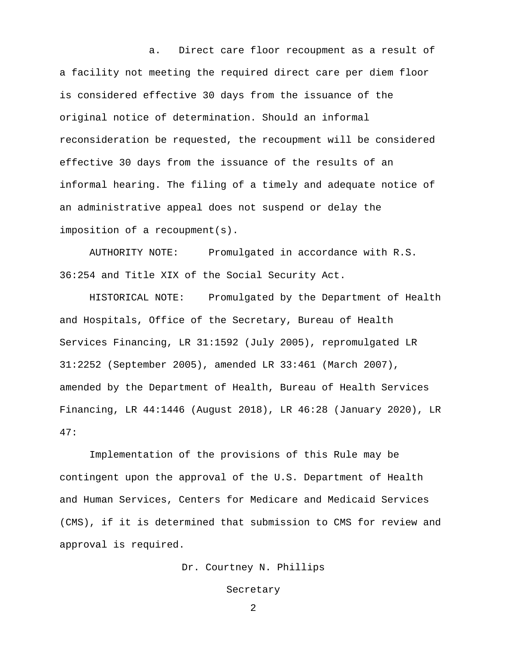a. Direct care floor recoupment as a result of a facility not meeting the required direct care per diem floor is considered effective 30 days from the issuance of the original notice of determination. Should an informal reconsideration be requested, the recoupment will be considered effective 30 days from the issuance of the results of an informal hearing. The filing of a timely and adequate notice of an administrative appeal does not suspend or delay the imposition of a recoupment(s).

AUTHORITY NOTE: Promulgated in accordance with R.S. 36:254 and Title XIX of the Social Security Act.

HISTORICAL NOTE: Promulgated by the Department of Health and Hospitals, Office of the Secretary, Bureau of Health Services Financing, LR 31:1592 (July 2005), repromulgated LR 31:2252 (September 2005), amended LR 33:461 (March 2007), amended by the Department of Health, Bureau of Health Services Financing, LR 44:1446 (August 2018), LR 46:28 (January 2020), LR 47:

Implementation of the provisions of this Rule may be contingent upon the approval of the U.S. Department of Health and Human Services, Centers for Medicare and Medicaid Services (CMS), if it is determined that submission to CMS for review and approval is required.

Dr. Courtney N. Phillips

Secretary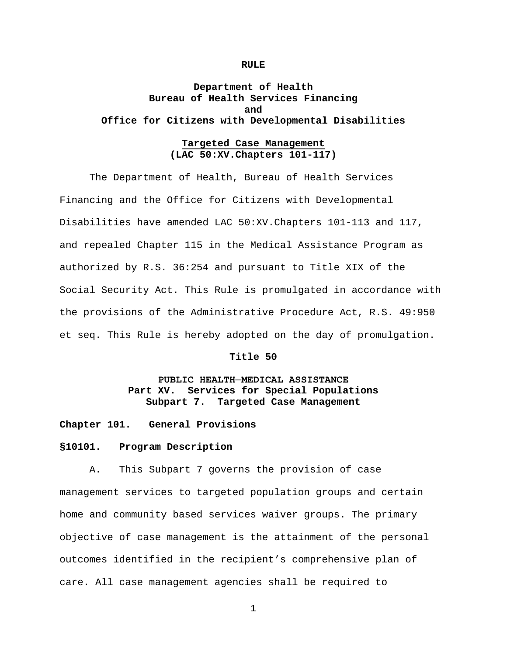#### **RULE**

# **Department of Health Bureau of Health Services Financing and Office for Citizens with Developmental Disabilities**

# **Targeted Case Management (LAC 50:XV.Chapters 101-117)**

The Department of Health, Bureau of Health Services Financing and the Office for Citizens with Developmental Disabilities have amended LAC 50:XV.Chapters 101-113 and 117, and repealed Chapter 115 in the Medical Assistance Program as authorized by R.S. 36:254 and pursuant to Title XIX of the Social Security Act. This Rule is promulgated in accordance with the provisions of the Administrative Procedure Act, R.S. 49:950 et seq. This Rule is hereby adopted on the day of promulgation.

### **Title 50**

# **PUBLIC HEALTH─MEDICAL ASSISTANCE Part XV. Services for Special Populations Subpart 7. Targeted Case Management**

**Chapter 101. General Provisions**

### **§10101. Program Description**

A. This Subpart 7 governs the provision of case management services to targeted population groups and certain home and community based services waiver groups. The primary objective of case management is the attainment of the personal outcomes identified in the recipient's comprehensive plan of care. All case management agencies shall be required to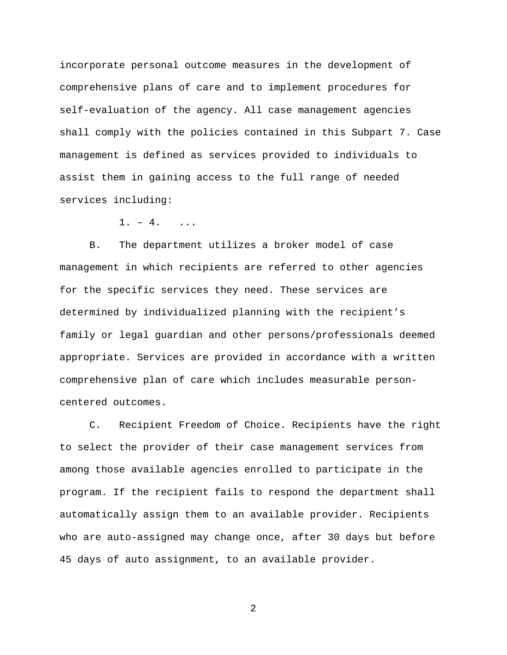incorporate personal outcome measures in the development of comprehensive plans of care and to implement procedures for self-evaluation of the agency. All case management agencies shall comply with the policies contained in this Subpart 7. Case management is defined as services provided to individuals to assist them in gaining access to the full range of needed services including:

 $1. - 4.$  ...

B. The department utilizes a broker model of case management in which recipients are referred to other agencies for the specific services they need. These services are determined by individualized planning with the recipient's family or legal guardian and other persons/professionals deemed appropriate. Services are provided in accordance with a written comprehensive plan of care which includes measurable personcentered outcomes.

C. Recipient Freedom of Choice. Recipients have the right to select the provider of their case management services from among those available agencies enrolled to participate in the program. If the recipient fails to respond the department shall automatically assign them to an available provider. Recipients who are auto-assigned may change once, after 30 days but before 45 days of auto assignment, to an available provider.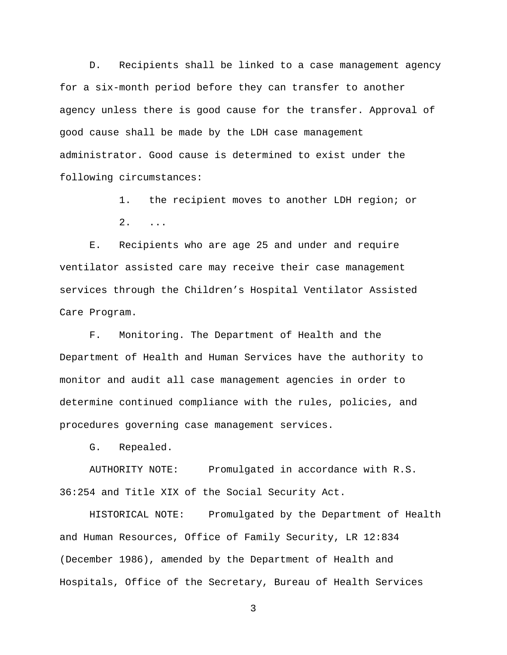D. Recipients shall be linked to a case management agency for a six-month period before they can transfer to another agency unless there is good cause for the transfer. Approval of good cause shall be made by the LDH case management administrator. Good cause is determined to exist under the following circumstances:

> 1. the recipient moves to another LDH region; or 2. ...

E. Recipients who are age 25 and under and require ventilator assisted care may receive their case management services through the Children's Hospital Ventilator Assisted Care Program.

F. Monitoring. The Department of Health and the Department of Health and Human Services have the authority to monitor and audit all case management agencies in order to determine continued compliance with the rules, policies, and procedures governing case management services.

G. Repealed.

AUTHORITY NOTE: Promulgated in accordance with R.S. 36:254 and Title XIX of the Social Security Act.

HISTORICAL NOTE: Promulgated by the Department of Health and Human Resources, Office of Family Security, LR 12:834 (December 1986), amended by the Department of Health and Hospitals, Office of the Secretary, Bureau of Health Services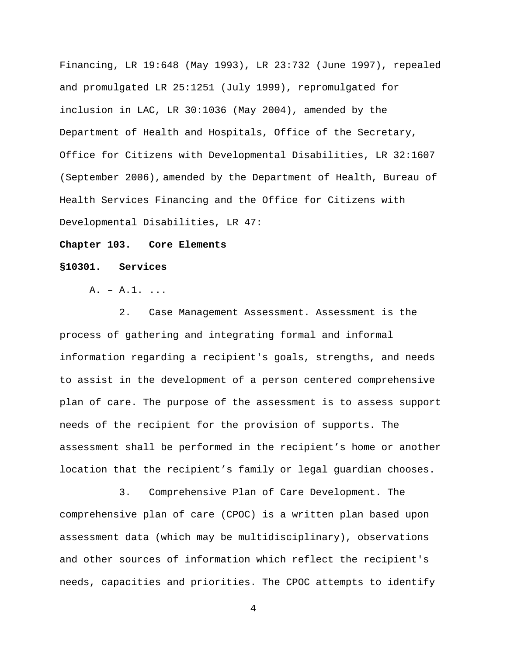Financing, LR 19:648 (May 1993), LR 23:732 (June 1997), repealed and promulgated LR 25:1251 (July 1999), repromulgated for inclusion in LAC, LR 30:1036 (May 2004), amended by the Department of Health and Hospitals, Office of the Secretary, Office for Citizens with Developmental Disabilities, LR 32:1607 (September 2006), amended by the Department of Health, Bureau of Health Services Financing and the Office for Citizens with Developmental Disabilities, LR 47:

## **Chapter 103. Core Elements**

#### **§10301. Services**

A. – A.1. ...

2. Case Management Assessment. Assessment is the process of gathering and integrating formal and informal information regarding a recipient's goals, strengths, and needs to assist in the development of a person centered comprehensive plan of care. The purpose of the assessment is to assess support needs of the recipient for the provision of supports. The assessment shall be performed in the recipient's home or another location that the recipient's family or legal guardian chooses.

3. Comprehensive Plan of Care Development. The comprehensive plan of care (CPOC) is a written plan based upon assessment data (which may be multidisciplinary), observations and other sources of information which reflect the recipient's needs, capacities and priorities. The CPOC attempts to identify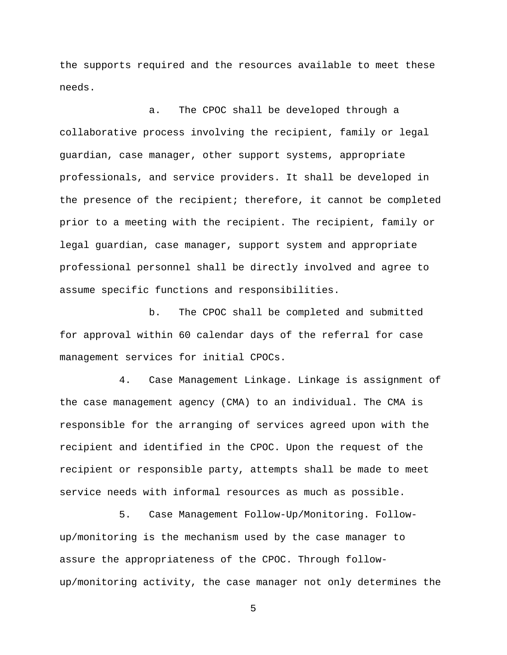the supports required and the resources available to meet these needs.

a. The CPOC shall be developed through a collaborative process involving the recipient, family or legal guardian, case manager, other support systems, appropriate professionals, and service providers. It shall be developed in the presence of the recipient; therefore, it cannot be completed prior to a meeting with the recipient. The recipient, family or legal guardian, case manager, support system and appropriate professional personnel shall be directly involved and agree to assume specific functions and responsibilities.

b. The CPOC shall be completed and submitted for approval within 60 calendar days of the referral for case management services for initial CPOCs.

4. Case Management Linkage. Linkage is assignment of the case management agency (CMA) to an individual. The CMA is responsible for the arranging of services agreed upon with the recipient and identified in the CPOC. Upon the request of the recipient or responsible party, attempts shall be made to meet service needs with informal resources as much as possible.

5. Case Management Follow-Up/Monitoring. Followup/monitoring is the mechanism used by the case manager to assure the appropriateness of the CPOC. Through followup/monitoring activity, the case manager not only determines the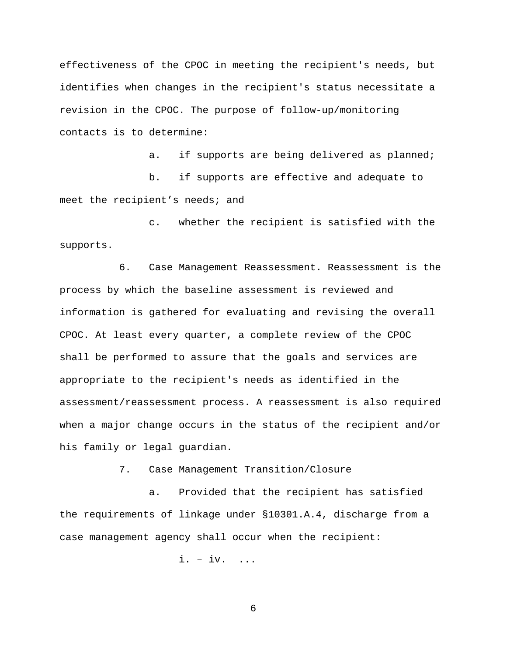effectiveness of the CPOC in meeting the recipient's needs, but identifies when changes in the recipient's status necessitate a revision in the CPOC. The purpose of follow-up/monitoring contacts is to determine:

a. if supports are being delivered as planned;

b. if supports are effective and adequate to meet the recipient's needs; and

c. whether the recipient is satisfied with the supports.

6. Case Management Reassessment. Reassessment is the process by which the baseline assessment is reviewed and information is gathered for evaluating and revising the overall CPOC. At least every quarter, a complete review of the CPOC shall be performed to assure that the goals and services are appropriate to the recipient's needs as identified in the assessment/reassessment process. A reassessment is also required when a major change occurs in the status of the recipient and/or his family or legal guardian.

7. Case Management Transition/Closure

a. Provided that the recipient has satisfied the requirements of linkage under §10301.A.4, discharge from a case management agency shall occur when the recipient:

i. – iv. ...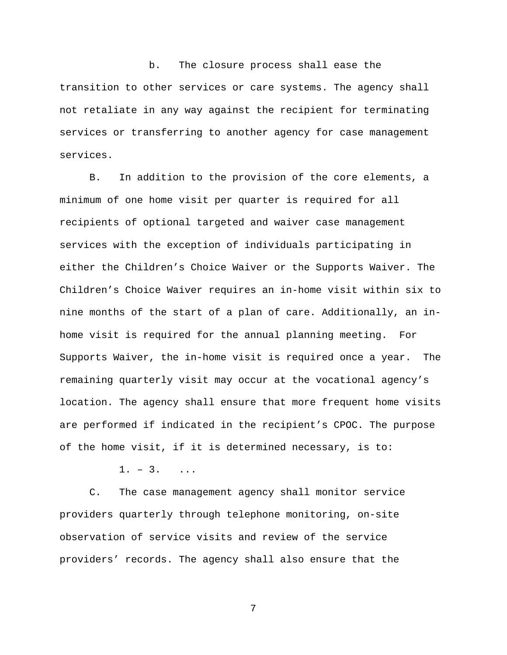b. The closure process shall ease the transition to other services or care systems. The agency shall not retaliate in any way against the recipient for terminating services or transferring to another agency for case management services.

B. In addition to the provision of the core elements, a minimum of one home visit per quarter is required for all recipients of optional targeted and waiver case management services with the exception of individuals participating in either the Children's Choice Waiver or the Supports Waiver. The Children's Choice Waiver requires an in-home visit within six to nine months of the start of a plan of care. Additionally, an inhome visit is required for the annual planning meeting. For Supports Waiver, the in-home visit is required once a year. The remaining quarterly visit may occur at the vocational agency's location. The agency shall ensure that more frequent home visits are performed if indicated in the recipient's CPOC. The purpose of the home visit, if it is determined necessary, is to:

 $1. - 3.$  ...

C. The case management agency shall monitor service providers quarterly through telephone monitoring, on-site observation of service visits and review of the service providers' records. The agency shall also ensure that the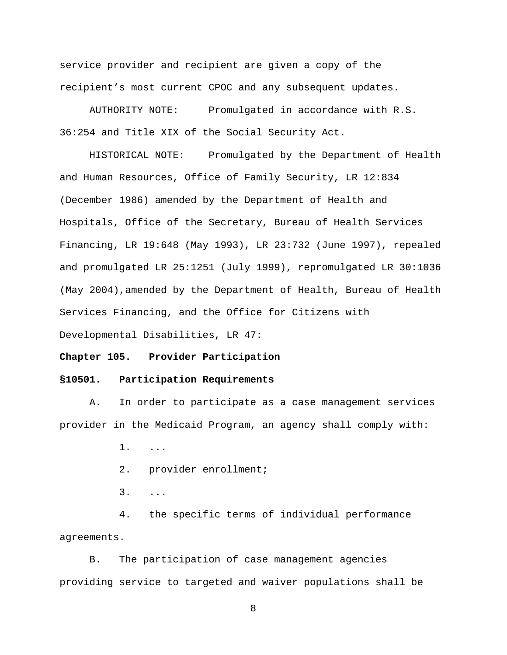service provider and recipient are given a copy of the recipient's most current CPOC and any subsequent updates.

AUTHORITY NOTE: Promulgated in accordance with R.S. 36:254 and Title XIX of the Social Security Act.

HISTORICAL NOTE: Promulgated by the Department of Health and Human Resources, Office of Family Security, LR 12:834 (December 1986) amended by the Department of Health and Hospitals, Office of the Secretary, Bureau of Health Services Financing, LR 19:648 (May 1993), LR 23:732 (June 1997), repealed and promulgated LR 25:1251 (July 1999), repromulgated LR 30:1036 (May 2004),amended by the Department of Health, Bureau of Health Services Financing, and the Office for Citizens with Developmental Disabilities, LR 47:

### **Chapter 105. Provider Participation**

### **§10501. Participation Requirements**

A. In order to participate as a case management services provider in the Medicaid Program, an agency shall comply with:

- 1. ...
- 2. provider enrollment;
- 3. ...

4. the specific terms of individual performance agreements.

B. The participation of case management agencies providing service to targeted and waiver populations shall be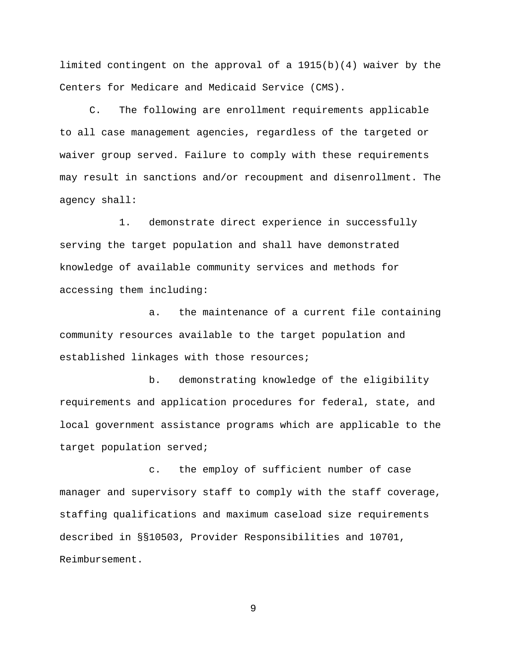limited contingent on the approval of a 1915(b)(4) waiver by the Centers for Medicare and Medicaid Service (CMS).

C. The following are enrollment requirements applicable to all case management agencies, regardless of the targeted or waiver group served. Failure to comply with these requirements may result in sanctions and/or recoupment and disenrollment. The agency shall:

1. demonstrate direct experience in successfully serving the target population and shall have demonstrated knowledge of available community services and methods for accessing them including:

a. the maintenance of a current file containing community resources available to the target population and established linkages with those resources;

b. demonstrating knowledge of the eligibility requirements and application procedures for federal, state, and local government assistance programs which are applicable to the target population served;

c. the employ of sufficient number of case manager and supervisory staff to comply with the staff coverage, staffing qualifications and maximum caseload size requirements described in §§10503, Provider Responsibilities and 10701, Reimbursement.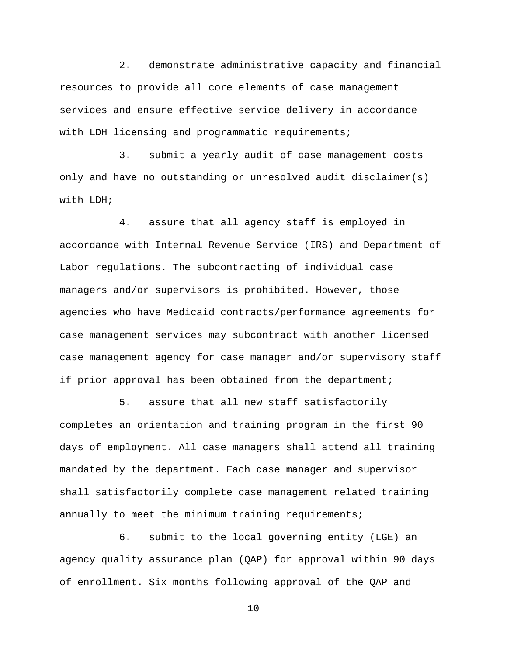2. demonstrate administrative capacity and financial resources to provide all core elements of case management services and ensure effective service delivery in accordance with LDH licensing and programmatic requirements;

3. submit a yearly audit of case management costs only and have no outstanding or unresolved audit disclaimer(s) with LDH;

4. assure that all agency staff is employed in accordance with Internal Revenue Service (IRS) and Department of Labor regulations. The subcontracting of individual case managers and/or supervisors is prohibited. However, those agencies who have Medicaid contracts/performance agreements for case management services may subcontract with another licensed case management agency for case manager and/or supervisory staff if prior approval has been obtained from the department;

5. assure that all new staff satisfactorily completes an orientation and training program in the first 90 days of employment. All case managers shall attend all training mandated by the department. Each case manager and supervisor shall satisfactorily complete case management related training annually to meet the minimum training requirements;

6. submit to the local governing entity (LGE) an agency quality assurance plan (QAP) for approval within 90 days of enrollment. Six months following approval of the QAP and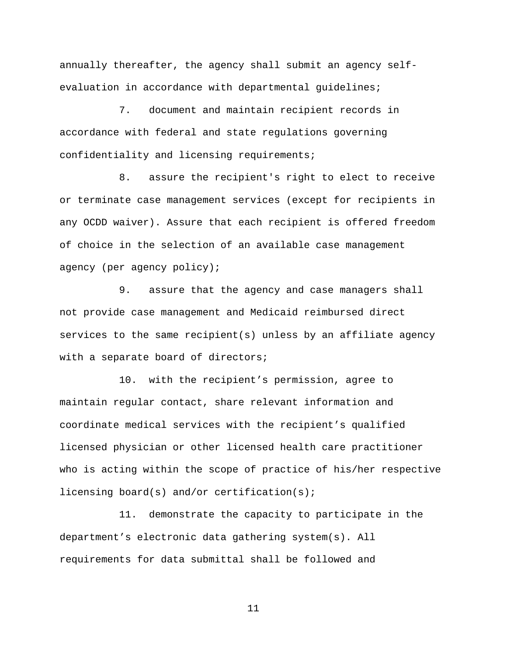annually thereafter, the agency shall submit an agency selfevaluation in accordance with departmental guidelines;

7. document and maintain recipient records in accordance with federal and state regulations governing confidentiality and licensing requirements;

8. assure the recipient's right to elect to receive or terminate case management services (except for recipients in any OCDD waiver). Assure that each recipient is offered freedom of choice in the selection of an available case management agency (per agency policy);

9. assure that the agency and case managers shall not provide case management and Medicaid reimbursed direct services to the same recipient(s) unless by an affiliate agency with a separate board of directors;

10. with the recipient's permission, agree to maintain regular contact, share relevant information and coordinate medical services with the recipient's qualified licensed physician or other licensed health care practitioner who is acting within the scope of practice of his/her respective licensing board(s) and/or certification(s);

11. demonstrate the capacity to participate in the department's electronic data gathering system(s). All requirements for data submittal shall be followed and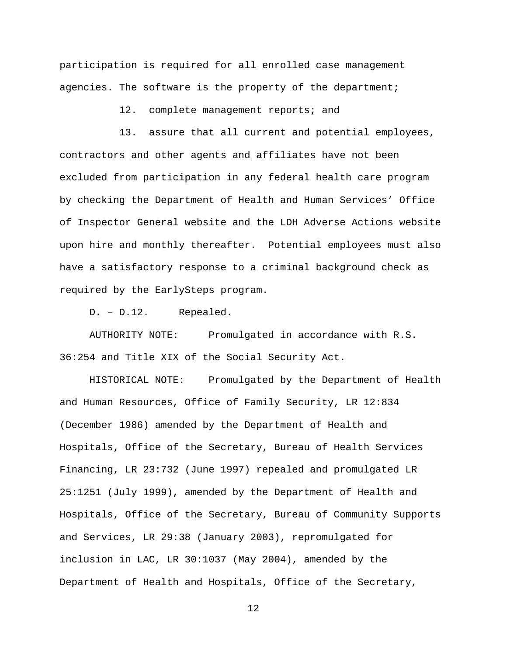participation is required for all enrolled case management agencies. The software is the property of the department;

12. complete management reports; and

13. assure that all current and potential employees, contractors and other agents and affiliates have not been excluded from participation in any federal health care program by checking the Department of Health and Human Services' Office of Inspector General website and the LDH Adverse Actions website upon hire and monthly thereafter. Potential employees must also have a satisfactory response to a criminal background check as required by the EarlySteps program.

D. – D.12. Repealed.

AUTHORITY NOTE: Promulgated in accordance with R.S. 36:254 and Title XIX of the Social Security Act.

HISTORICAL NOTE: Promulgated by the Department of Health and Human Resources, Office of Family Security, LR 12:834 (December 1986) amended by the Department of Health and Hospitals, Office of the Secretary, Bureau of Health Services Financing, LR 23:732 (June 1997) repealed and promulgated LR 25:1251 (July 1999), amended by the Department of Health and Hospitals, Office of the Secretary, Bureau of Community Supports and Services, LR 29:38 (January 2003), repromulgated for inclusion in LAC, LR 30:1037 (May 2004), amended by the Department of Health and Hospitals, Office of the Secretary,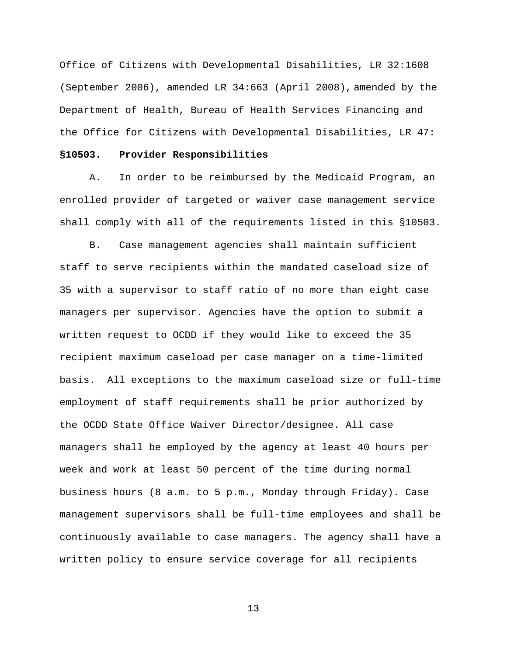Office of Citizens with Developmental Disabilities, LR 32:1608 (September 2006), amended LR 34:663 (April 2008), amended by the Department of Health, Bureau of Health Services Financing and the Office for Citizens with Developmental Disabilities, LR 47:

## **§10503. Provider Responsibilities**

A. In order to be reimbursed by the Medicaid Program, an enrolled provider of targeted or waiver case management service shall comply with all of the requirements listed in this §10503.

B. Case management agencies shall maintain sufficient staff to serve recipients within the mandated caseload size of 35 with a supervisor to staff ratio of no more than eight case managers per supervisor. Agencies have the option to submit a written request to OCDD if they would like to exceed the 35 recipient maximum caseload per case manager on a time-limited basis. All exceptions to the maximum caseload size or full-time employment of staff requirements shall be prior authorized by the OCDD State Office Waiver Director/designee. All case managers shall be employed by the agency at least 40 hours per week and work at least 50 percent of the time during normal business hours (8 a.m. to 5 p.m., Monday through Friday). Case management supervisors shall be full-time employees and shall be continuously available to case managers. The agency shall have a written policy to ensure service coverage for all recipients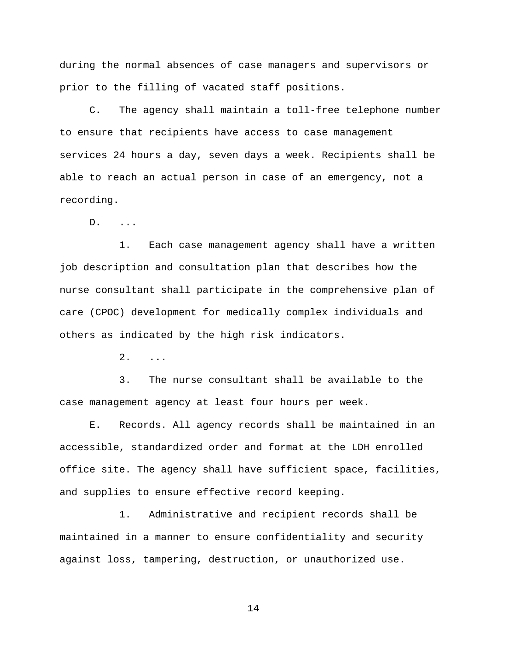during the normal absences of case managers and supervisors or prior to the filling of vacated staff positions.

C. The agency shall maintain a toll-free telephone number to ensure that recipients have access to case management services 24 hours a day, seven days a week. Recipients shall be able to reach an actual person in case of an emergency, not a recording.

D. ...

1. Each case management agency shall have a written job description and consultation plan that describes how the nurse consultant shall participate in the comprehensive plan of care (CPOC) development for medically complex individuals and others as indicated by the high risk indicators.

2. ...

3. The nurse consultant shall be available to the case management agency at least four hours per week.

E. Records. All agency records shall be maintained in an accessible, standardized order and format at the LDH enrolled office site. The agency shall have sufficient space, facilities, and supplies to ensure effective record keeping.

1. Administrative and recipient records shall be maintained in a manner to ensure confidentiality and security against loss, tampering, destruction, or unauthorized use.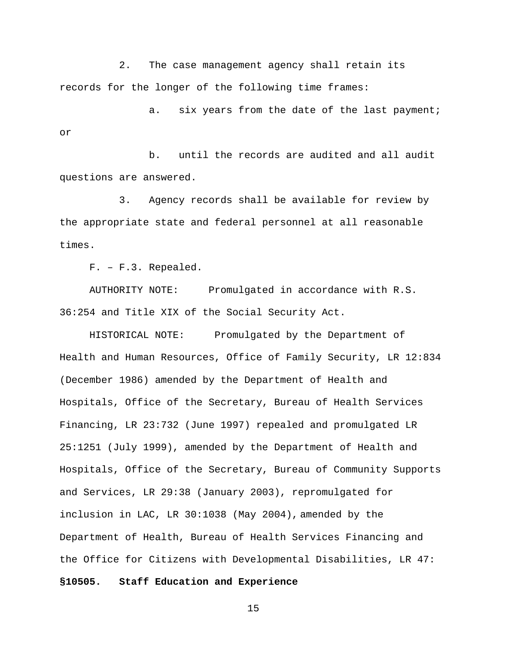2. The case management agency shall retain its records for the longer of the following time frames:

a. six years from the date of the last payment; or

b. until the records are audited and all audit questions are answered.

3. Agency records shall be available for review by the appropriate state and federal personnel at all reasonable times.

F. – F.3. Repealed.

AUTHORITY NOTE: Promulgated in accordance with R.S. 36:254 and Title XIX of the Social Security Act.

HISTORICAL NOTE: Promulgated by the Department of Health and Human Resources, Office of Family Security, LR 12:834 (December 1986) amended by the Department of Health and Hospitals, Office of the Secretary, Bureau of Health Services Financing, LR 23:732 (June 1997) repealed and promulgated LR 25:1251 (July 1999), amended by the Department of Health and Hospitals, Office of the Secretary, Bureau of Community Supports and Services, LR 29:38 (January 2003), repromulgated for inclusion in LAC, LR 30:1038 (May 2004), amended by the Department of Health, Bureau of Health Services Financing and the Office for Citizens with Developmental Disabilities, LR 47: **§10505. Staff Education and Experience**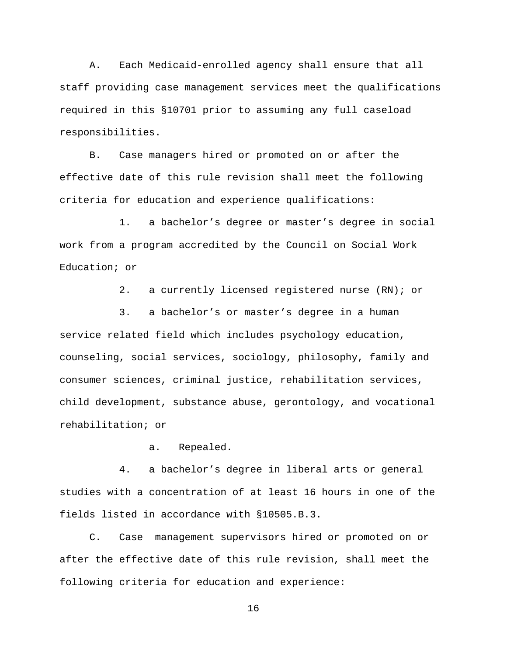A. Each Medicaid-enrolled agency shall ensure that all staff providing case management services meet the qualifications required in this §10701 prior to assuming any full caseload responsibilities.

B. Case managers hired or promoted on or after the effective date of this rule revision shall meet the following criteria for education and experience qualifications:

1. a bachelor's degree or master's degree in social work from a program accredited by the Council on Social Work Education; or

2. a currently licensed registered nurse (RN); or

3. a bachelor's or master's degree in a human service related field which includes psychology education, counseling, social services, sociology, philosophy, family and consumer sciences, criminal justice, rehabilitation services, child development, substance abuse, gerontology, and vocational rehabilitation; or

a. Repealed.

4. a bachelor's degree in liberal arts or general studies with a concentration of at least 16 hours in one of the fields listed in accordance with §10505.B.3.

C. Case management supervisors hired or promoted on or after the effective date of this rule revision, shall meet the following criteria for education and experience: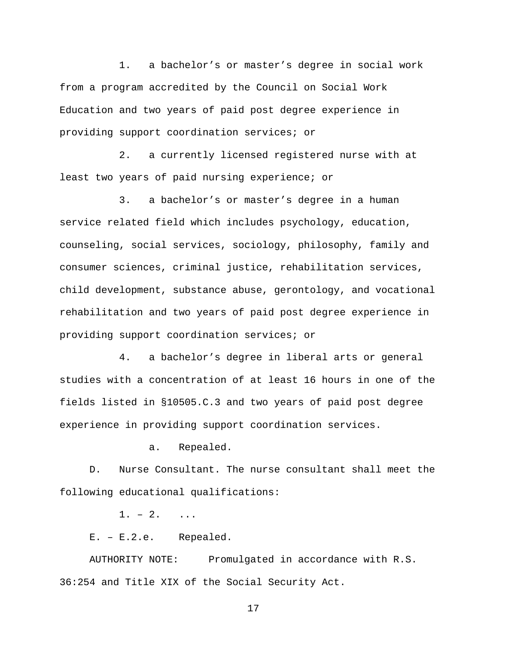1. a bachelor's or master's degree in social work from a program accredited by the Council on Social Work Education and two years of paid post degree experience in providing support coordination services; or

2. a currently licensed registered nurse with at least two years of paid nursing experience; or

3. a bachelor's or master's degree in a human service related field which includes psychology, education, counseling, social services, sociology, philosophy, family and consumer sciences, criminal justice, rehabilitation services, child development, substance abuse, gerontology, and vocational rehabilitation and two years of paid post degree experience in providing support coordination services; or

4. a bachelor's degree in liberal arts or general studies with a concentration of at least 16 hours in one of the fields listed in §10505.C.3 and two years of paid post degree experience in providing support coordination services.

a. Repealed.

D. Nurse Consultant. The nurse consultant shall meet the following educational qualifications:

 $1. - 2.$  ...

E. – E.2.e. Repealed.

AUTHORITY NOTE: Promulgated in accordance with R.S. 36:254 and Title XIX of the Social Security Act.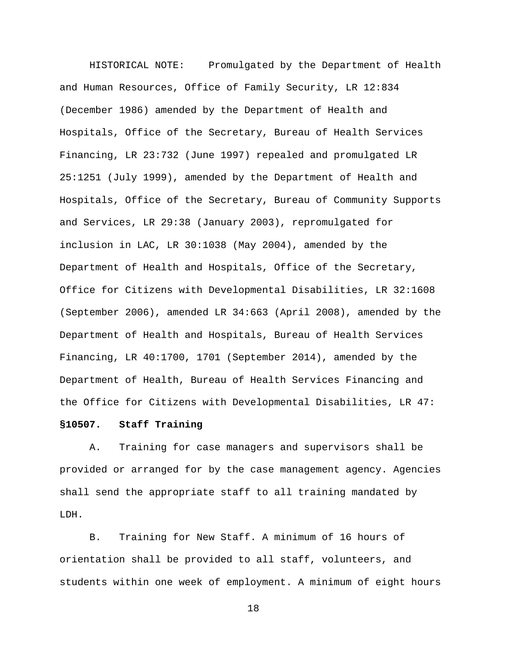HISTORICAL NOTE: Promulgated by the Department of Health and Human Resources, Office of Family Security, LR 12:834 (December 1986) amended by the Department of Health and Hospitals, Office of the Secretary, Bureau of Health Services Financing, LR 23:732 (June 1997) repealed and promulgated LR 25:1251 (July 1999), amended by the Department of Health and Hospitals, Office of the Secretary, Bureau of Community Supports and Services, LR 29:38 (January 2003), repromulgated for inclusion in LAC, LR 30:1038 (May 2004), amended by the Department of Health and Hospitals, Office of the Secretary, Office for Citizens with Developmental Disabilities, LR 32:1608 (September 2006), amended LR 34:663 (April 2008), amended by the Department of Health and Hospitals, Bureau of Health Services Financing, LR 40:1700, 1701 (September 2014), amended by the Department of Health, Bureau of Health Services Financing and the Office for Citizens with Developmental Disabilities, LR 47:

# **§10507. Staff Training**

A. Training for case managers and supervisors shall be provided or arranged for by the case management agency. Agencies shall send the appropriate staff to all training mandated by LDH.

B. Training for New Staff. A minimum of 16 hours of orientation shall be provided to all staff, volunteers, and students within one week of employment. A minimum of eight hours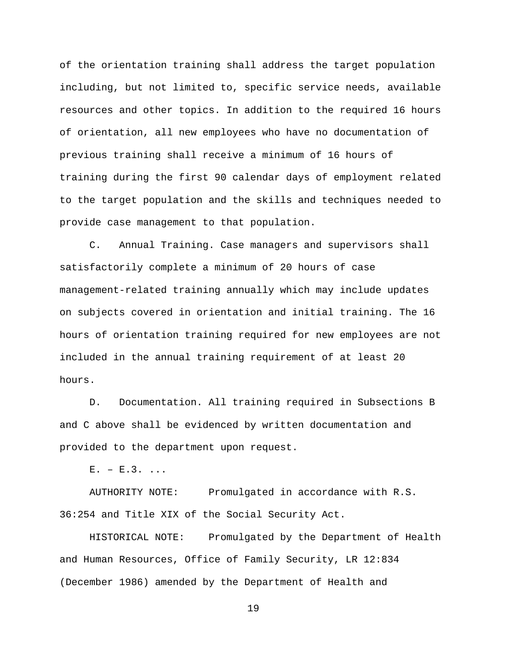of the orientation training shall address the target population including, but not limited to, specific service needs, available resources and other topics. In addition to the required 16 hours of orientation, all new employees who have no documentation of previous training shall receive a minimum of 16 hours of training during the first 90 calendar days of employment related to the target population and the skills and techniques needed to provide case management to that population.

C. Annual Training. Case managers and supervisors shall satisfactorily complete a minimum of 20 hours of case management-related training annually which may include updates on subjects covered in orientation and initial training. The 16 hours of orientation training required for new employees are not included in the annual training requirement of at least 20 hours.

D. Documentation. All training required in Subsections B and C above shall be evidenced by written documentation and provided to the department upon request.

 $E. - E.3.$ 

AUTHORITY NOTE: Promulgated in accordance with R.S. 36:254 and Title XIX of the Social Security Act.

HISTORICAL NOTE: Promulgated by the Department of Health and Human Resources, Office of Family Security, LR 12:834 (December 1986) amended by the Department of Health and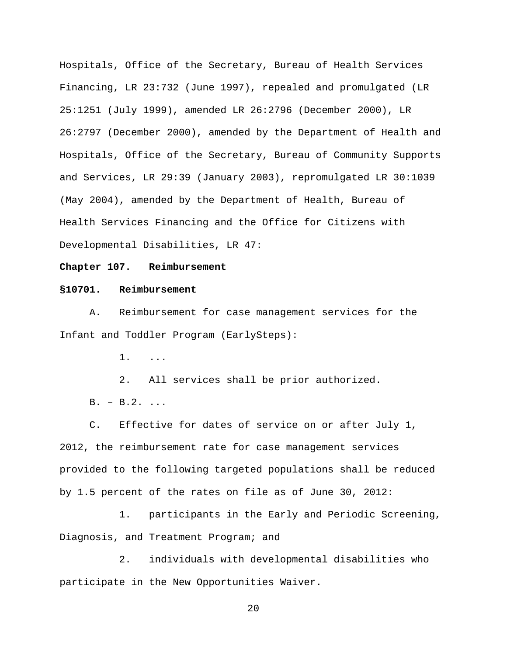Hospitals, Office of the Secretary, Bureau of Health Services Financing, LR 23:732 (June 1997), repealed and promulgated (LR 25:1251 (July 1999), amended LR 26:2796 (December 2000), LR 26:2797 (December 2000), amended by the Department of Health and Hospitals, Office of the Secretary, Bureau of Community Supports and Services, LR 29:39 (January 2003), repromulgated LR 30:1039 (May 2004), amended by the Department of Health, Bureau of Health Services Financing and the Office for Citizens with Developmental Disabilities, LR 47:

#### **Chapter 107. Reimbursement**

#### **§10701. Reimbursement**

A. Reimbursement for case management services for the Infant and Toddler Program (EarlySteps):

1. ...

2. All services shall be prior authorized. B. – B.2. ...

C. Effective for dates of service on or after July 1, 2012, the reimbursement rate for case management services provided to the following targeted populations shall be reduced by 1.5 percent of the rates on file as of June 30, 2012:

1. participants in the Early and Periodic Screening, Diagnosis, and Treatment Program; and

2. individuals with developmental disabilities who participate in the New Opportunities Waiver.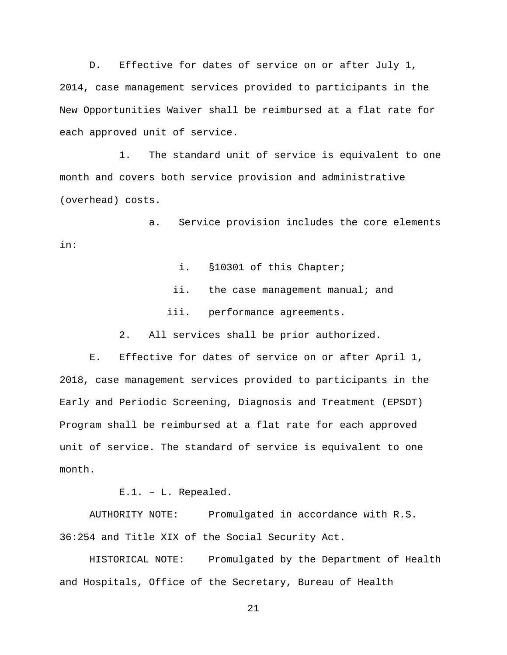D. Effective for dates of service on or after July 1, 2014, case management services provided to participants in the New Opportunities Waiver shall be reimbursed at a flat rate for each approved unit of service.

1. The standard unit of service is equivalent to one month and covers both service provision and administrative (overhead) costs.

a. Service provision includes the core elements in:

i. §10301 of this Chapter;

- ii. the case management manual; and
- iii. performance agreements.

2. All services shall be prior authorized.

E. Effective for dates of service on or after April 1, 2018, case management services provided to participants in the Early and Periodic Screening, Diagnosis and Treatment (EPSDT) Program shall be reimbursed at a flat rate for each approved unit of service. The standard of service is equivalent to one month.

E.1. – L. Repealed.

AUTHORITY NOTE: Promulgated in accordance with R.S. 36:254 and Title XIX of the Social Security Act.

HISTORICAL NOTE: Promulgated by the Department of Health and Hospitals, Office of the Secretary, Bureau of Health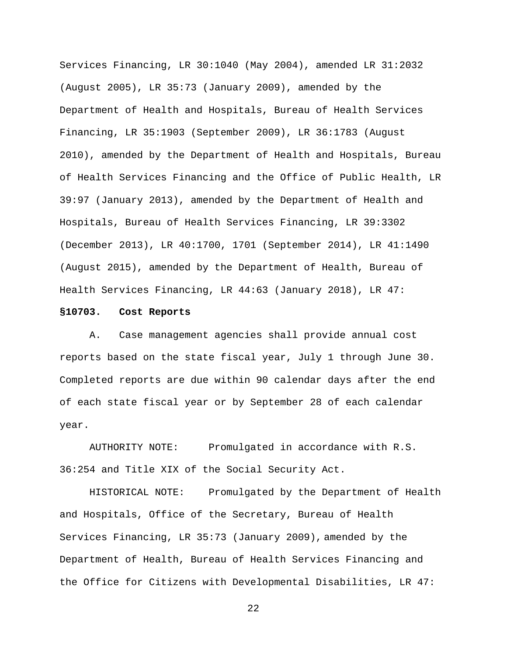Services Financing, LR 30:1040 (May 2004), amended LR 31:2032 (August 2005), LR 35:73 (January 2009), amended by the Department of Health and Hospitals, Bureau of Health Services Financing, LR 35:1903 (September 2009), LR 36:1783 (August 2010), amended by the Department of Health and Hospitals, Bureau of Health Services Financing and the Office of Public Health, LR 39:97 (January 2013), amended by the Department of Health and Hospitals, Bureau of Health Services Financing, LR 39:3302 (December 2013), LR 40:1700, 1701 (September 2014), LR 41:1490 (August 2015), amended by the Department of Health, Bureau of Health Services Financing, LR 44:63 (January 2018), LR 47:

#### **§10703. Cost Reports**

A. Case management agencies shall provide annual cost reports based on the state fiscal year, July 1 through June 30. Completed reports are due within 90 calendar days after the end of each state fiscal year or by September 28 of each calendar year.

AUTHORITY NOTE: Promulgated in accordance with R.S. 36:254 and Title XIX of the Social Security Act.

HISTORICAL NOTE: Promulgated by the Department of Health and Hospitals, Office of the Secretary, Bureau of Health Services Financing, LR 35:73 (January 2009), amended by the Department of Health, Bureau of Health Services Financing and the Office for Citizens with Developmental Disabilities, LR 47: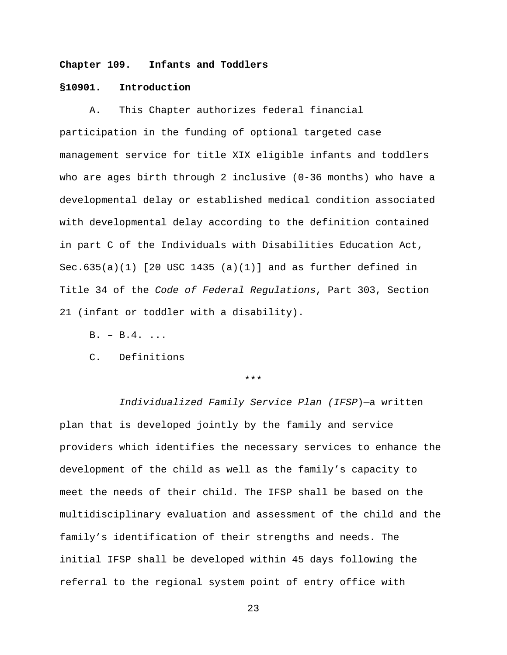## **Chapter 109. Infants and Toddlers**

## **§10901. Introduction**

A. This Chapter authorizes federal financial participation in the funding of optional targeted case management service for title XIX eligible infants and toddlers who are ages birth through 2 inclusive (0-36 months) who have a developmental delay or established medical condition associated with developmental delay according to the definition contained in part C of the Individuals with Disabilities Education Act, Sec.635(a)(1) [20 USC 1435 (a)(1)] and as further defined in Title 34 of the *Code of Federal Regulations*, Part 303, Section 21 (infant or toddler with a disability).

- $B. B.4. ...$
- C. Definitions

#### \*\*\*

*Individualized Family Service Plan (IFSP*)—a written plan that is developed jointly by the family and service providers which identifies the necessary services to enhance the development of the child as well as the family's capacity to meet the needs of their child. The IFSP shall be based on the multidisciplinary evaluation and assessment of the child and the family's identification of their strengths and needs. The initial IFSP shall be developed within 45 days following the referral to the regional system point of entry office with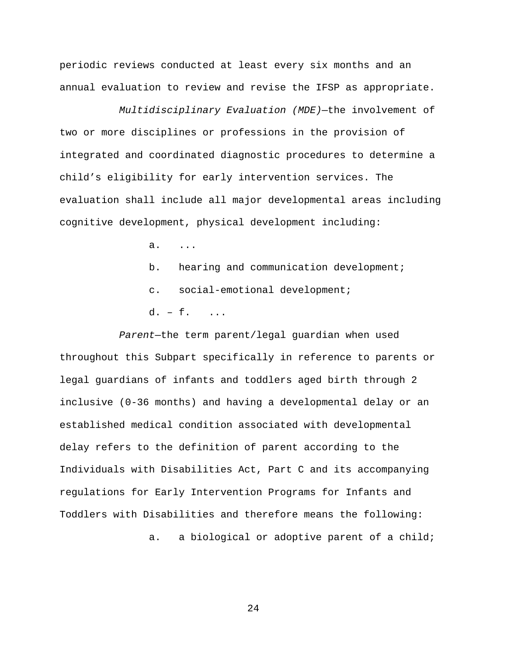periodic reviews conducted at least every six months and an annual evaluation to review and revise the IFSP as appropriate.

*Multidisciplinary Evaluation (MDE)*—the involvement of two or more disciplines or professions in the provision of integrated and coordinated diagnostic procedures to determine a child's eligibility for early intervention services. The evaluation shall include all major developmental areas including cognitive development, physical development including:

a. ...

- b. hearing and communication development;
- c. social-emotional development;
- d. f. ...

*Parent*—the term parent/legal guardian when used throughout this Subpart specifically in reference to parents or legal guardians of infants and toddlers aged birth through 2 inclusive (0-36 months) and having a developmental delay or an established medical condition associated with developmental delay refers to the definition of parent according to the Individuals with Disabilities Act, Part C and its accompanying regulations for Early Intervention Programs for Infants and Toddlers with Disabilities and therefore means the following: a. a biological or adoptive parent of a child;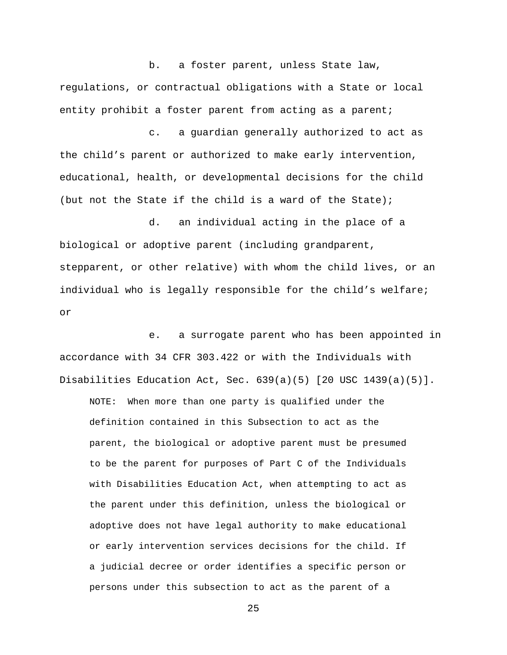b. a foster parent, unless State law, regulations, or contractual obligations with a State or local entity prohibit a foster parent from acting as a parent;

c. a guardian generally authorized to act as the child's parent or authorized to make early intervention, educational, health, or developmental decisions for the child (but not the State if the child is a ward of the State);

d. an individual acting in the place of a biological or adoptive parent (including grandparent, stepparent, or other relative) with whom the child lives, or an individual who is legally responsible for the child's welfare; or

e. a surrogate parent who has been appointed in accordance with 34 CFR 303.422 or with the Individuals with Disabilities Education Act, Sec. 639(a)(5) [20 USC 1439(a)(5)].

NOTE: When more than one party is qualified under the definition contained in this Subsection to act as the parent, the biological or adoptive parent must be presumed to be the parent for purposes of Part C of the Individuals with Disabilities Education Act, when attempting to act as the parent under this definition, unless the biological or adoptive does not have legal authority to make educational or early intervention services decisions for the child. If a judicial decree or order identifies a specific person or persons under this subsection to act as the parent of a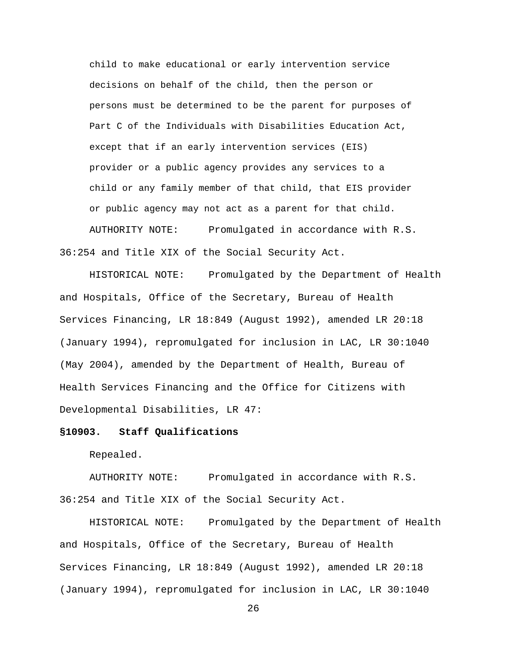child to make educational or early intervention service decisions on behalf of the child, then the person or persons must be determined to be the parent for purposes of Part C of the Individuals with Disabilities Education Act, except that if an early intervention services (EIS) provider or a public agency provides any services to a child or any family member of that child, that EIS provider or public agency may not act as a parent for that child. AUTHORITY NOTE: Promulgated in accordance with R.S. 36:254 and Title XIX of the Social Security Act.

HISTORICAL NOTE: Promulgated by the Department of Health and Hospitals, Office of the Secretary, Bureau of Health Services Financing, LR 18:849 (August 1992), amended LR 20:18 (January 1994), repromulgated for inclusion in LAC, LR 30:1040 (May 2004), amended by the Department of Health, Bureau of Health Services Financing and the Office for Citizens with Developmental Disabilities, LR 47:

# **§10903. Staff Qualifications**

Repealed.

AUTHORITY NOTE: Promulgated in accordance with R.S. 36:254 and Title XIX of the Social Security Act.

HISTORICAL NOTE: Promulgated by the Department of Health and Hospitals, Office of the Secretary, Bureau of Health Services Financing, LR 18:849 (August 1992), amended LR 20:18 (January 1994), repromulgated for inclusion in LAC, LR 30:1040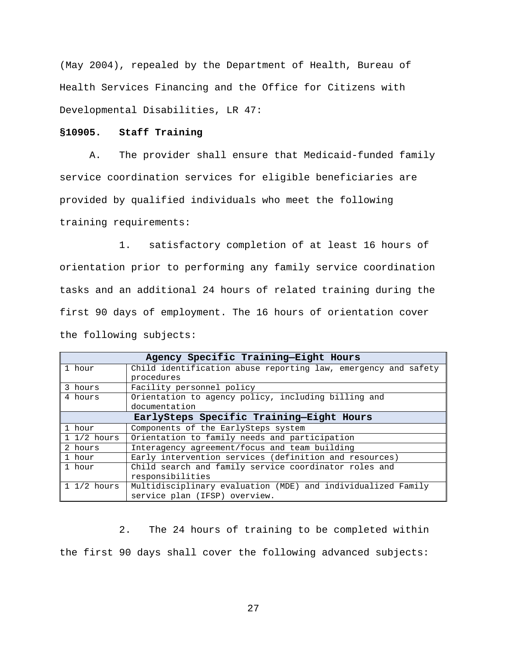(May 2004), repealed by the Department of Health, Bureau of Health Services Financing and the Office for Citizens with Developmental Disabilities, LR 47:

# **§10905. Staff Training**

A. The provider shall ensure that Medicaid-funded family service coordination services for eligible beneficiaries are provided by qualified individuals who meet the following training requirements:

1. satisfactory completion of at least 16 hours of orientation prior to performing any family service coordination tasks and an additional 24 hours of related training during the first 90 days of employment. The 16 hours of orientation cover the following subjects:

| Agency Specific Training-Eight Hours     |                                                                |
|------------------------------------------|----------------------------------------------------------------|
| 1 hour                                   | Child identification abuse reporting law, emergency and safety |
|                                          | procedures                                                     |
| 3 hours                                  | Facility personnel policy                                      |
| 4 hours                                  | Orientation to agency policy, including billing and            |
|                                          | documentation                                                  |
| EarlySteps Specific Training-Eight Hours |                                                                |
| 1 hour                                   | Components of the EarlySteps system                            |
| $1 \frac{1}{2}$ hours                    | Orientation to family needs and participation                  |
| 2 hours                                  | Interagency agreement/focus and team building                  |
| 1 hour                                   | Early intervention services (definition and resources)         |
| 1 hour                                   | Child search and family service coordinator roles and          |
|                                          | responsibilities                                               |
| $1\frac{1}{2}$ hours                     | Multidisciplinary evaluation (MDE) and individualized Family   |
|                                          | service plan (IFSP) overview.                                  |

2. The 24 hours of training to be completed within the first 90 days shall cover the following advanced subjects: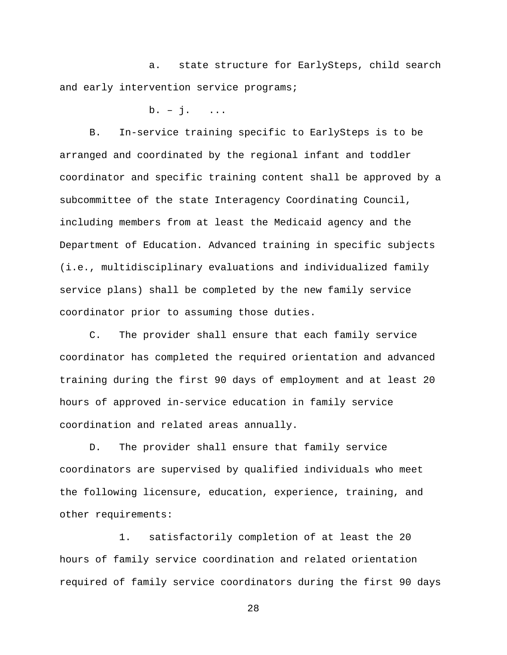a. state structure for EarlySteps, child search and early intervention service programs;

 $b. - i.$  ...

B. In-service training specific to EarlySteps is to be arranged and coordinated by the regional infant and toddler coordinator and specific training content shall be approved by a subcommittee of the state Interagency Coordinating Council, including members from at least the Medicaid agency and the Department of Education. Advanced training in specific subjects (i.e., multidisciplinary evaluations and individualized family service plans) shall be completed by the new family service coordinator prior to assuming those duties.

C. The provider shall ensure that each family service coordinator has completed the required orientation and advanced training during the first 90 days of employment and at least 20 hours of approved in-service education in family service coordination and related areas annually.

D. The provider shall ensure that family service coordinators are supervised by qualified individuals who meet the following licensure, education, experience, training, and other requirements:

1. satisfactorily completion of at least the 20 hours of family service coordination and related orientation required of family service coordinators during the first 90 days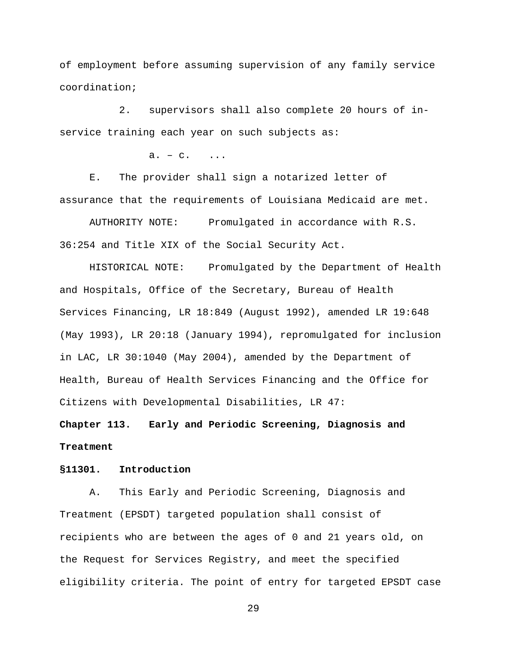of employment before assuming supervision of any family service coordination;

2. supervisors shall also complete 20 hours of inservice training each year on such subjects as:

 $a. - c.$  ...

E. The provider shall sign a notarized letter of assurance that the requirements of Louisiana Medicaid are met.

AUTHORITY NOTE: Promulgated in accordance with R.S. 36:254 and Title XIX of the Social Security Act.

HISTORICAL NOTE: Promulgated by the Department of Health and Hospitals, Office of the Secretary, Bureau of Health Services Financing, LR 18:849 (August 1992), amended LR 19:648 (May 1993), LR 20:18 (January 1994), repromulgated for inclusion in LAC, LR 30:1040 (May 2004), amended by the Department of Health, Bureau of Health Services Financing and the Office for Citizens with Developmental Disabilities, LR 47:

**Chapter 113. Early and Periodic Screening, Diagnosis and Treatment**

#### **§11301. Introduction**

A. This Early and Periodic Screening, Diagnosis and Treatment (EPSDT) targeted population shall consist of recipients who are between the ages of 0 and 21 years old, on the Request for Services Registry, and meet the specified eligibility criteria. The point of entry for targeted EPSDT case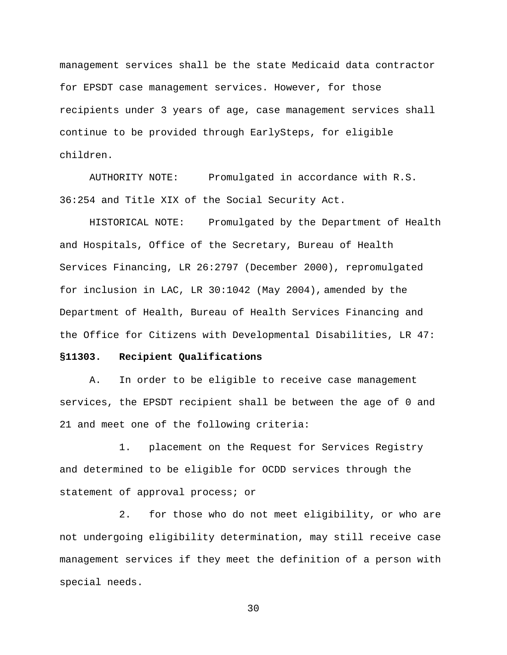management services shall be the state Medicaid data contractor for EPSDT case management services. However, for those recipients under 3 years of age, case management services shall continue to be provided through EarlySteps, for eligible children.

AUTHORITY NOTE: Promulgated in accordance with R.S. 36:254 and Title XIX of the Social Security Act.

HISTORICAL NOTE: Promulgated by the Department of Health and Hospitals, Office of the Secretary, Bureau of Health Services Financing, LR 26:2797 (December 2000), repromulgated for inclusion in LAC, LR 30:1042 (May 2004), amended by the Department of Health, Bureau of Health Services Financing and the Office for Citizens with Developmental Disabilities, LR 47:

#### **§11303. Recipient Qualifications**

A. In order to be eligible to receive case management services, the EPSDT recipient shall be between the age of 0 and 21 and meet one of the following criteria:

1. placement on the Request for Services Registry and determined to be eligible for OCDD services through the statement of approval process; or

2. for those who do not meet eligibility, or who are not undergoing eligibility determination, may still receive case management services if they meet the definition of a person with special needs.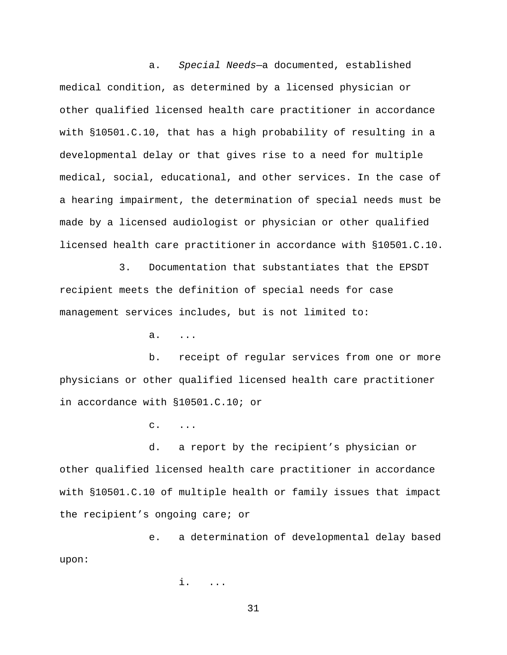a. *Special Needs*—a documented, established medical condition, as determined by a licensed physician or other qualified licensed health care practitioner in accordance with §10501.C.10, that has a high probability of resulting in a developmental delay or that gives rise to a need for multiple medical, social, educational, and other services. In the case of a hearing impairment, the determination of special needs must be made by a licensed audiologist or physician or other qualified licensed health care practitioner in accordance with §10501.C.10.

3. Documentation that substantiates that the EPSDT recipient meets the definition of special needs for case management services includes, but is not limited to:

a. ...

b. receipt of regular services from one or more physicians or other qualified licensed health care practitioner in accordance with §10501.C.10; or

 $C.$  ...

d. a report by the recipient's physician or other qualified licensed health care practitioner in accordance with §10501.C.10 of multiple health or family issues that impact the recipient's ongoing care; or

e. a determination of developmental delay based upon:

i. ...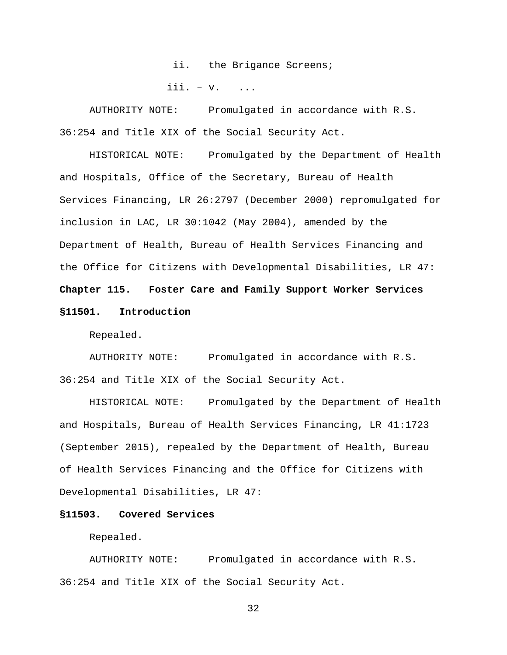ii. the Brigance Screens;

iii.  $-\mathbf{v}$ . ...

AUTHORITY NOTE: Promulgated in accordance with R.S. 36:254 and Title XIX of the Social Security Act.

HISTORICAL NOTE: Promulgated by the Department of Health and Hospitals, Office of the Secretary, Bureau of Health Services Financing, LR 26:2797 (December 2000) repromulgated for inclusion in LAC, LR 30:1042 (May 2004), amended by the Department of Health, Bureau of Health Services Financing and the Office for Citizens with Developmental Disabilities, LR 47: **Chapter 115. Foster Care and Family Support Worker Services §11501. Introduction**

Repealed.

AUTHORITY NOTE: Promulgated in accordance with R.S. 36:254 and Title XIX of the Social Security Act.

HISTORICAL NOTE: Promulgated by the Department of Health and Hospitals, Bureau of Health Services Financing, LR 41:1723 (September 2015), repealed by the Department of Health, Bureau of Health Services Financing and the Office for Citizens with Developmental Disabilities, LR 47:

# **§11503. Covered Services**

Repealed.

AUTHORITY NOTE: Promulgated in accordance with R.S. 36:254 and Title XIX of the Social Security Act.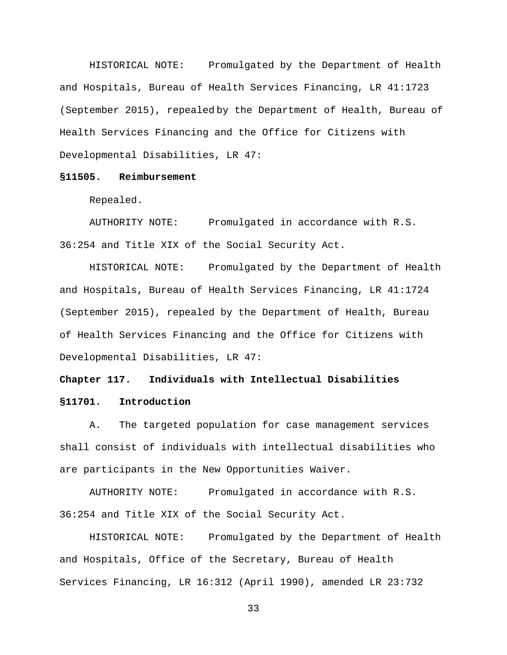HISTORICAL NOTE: Promulgated by the Department of Health and Hospitals, Bureau of Health Services Financing, LR 41:1723 (September 2015), repealed by the Department of Health, Bureau of Health Services Financing and the Office for Citizens with Developmental Disabilities, LR 47:

## **§11505. Reimbursement**

Repealed.

AUTHORITY NOTE: Promulgated in accordance with R.S. 36:254 and Title XIX of the Social Security Act.

HISTORICAL NOTE: Promulgated by the Department of Health and Hospitals, Bureau of Health Services Financing, LR 41:1724 (September 2015), repealed by the Department of Health, Bureau of Health Services Financing and the Office for Citizens with Developmental Disabilities, LR 47:

# **Chapter 117. Individuals with Intellectual Disabilities §11701. Introduction**

A. The targeted population for case management services shall consist of individuals with intellectual disabilities who are participants in the New Opportunities Waiver.

AUTHORITY NOTE: Promulgated in accordance with R.S. 36:254 and Title XIX of the Social Security Act.

HISTORICAL NOTE: Promulgated by the Department of Health and Hospitals, Office of the Secretary, Bureau of Health Services Financing, LR 16:312 (April 1990), amended LR 23:732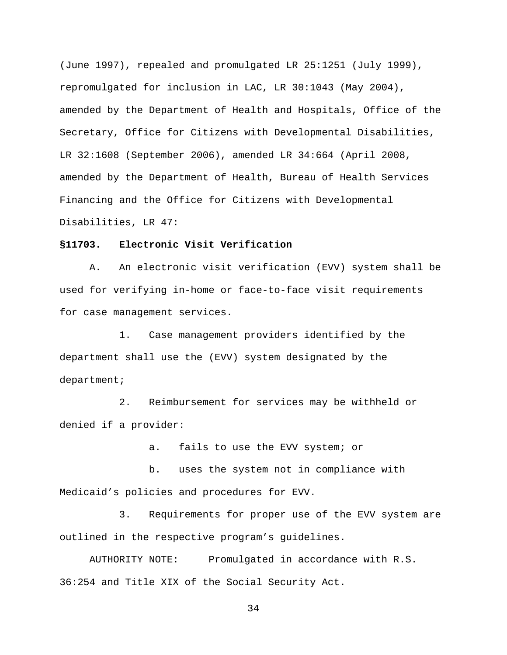(June 1997), repealed and promulgated LR 25:1251 (July 1999), repromulgated for inclusion in LAC, LR 30:1043 (May 2004), amended by the Department of Health and Hospitals, Office of the Secretary, Office for Citizens with Developmental Disabilities, LR 32:1608 (September 2006), amended LR 34:664 (April 2008, amended by the Department of Health, Bureau of Health Services Financing and the Office for Citizens with Developmental Disabilities, LR 47:

# **§11703. Electronic Visit Verification**

A. An electronic visit verification (EVV) system shall be used for verifying in-home or face-to-face visit requirements for case management services.

1. Case management providers identified by the department shall use the (EVV) system designated by the department;

2. Reimbursement for services may be withheld or denied if a provider:

a. fails to use the EVV system; or

b. uses the system not in compliance with Medicaid's policies and procedures for EVV.

3. Requirements for proper use of the EVV system are outlined in the respective program's guidelines.

AUTHORITY NOTE: Promulgated in accordance with R.S. 36:254 and Title XIX of the Social Security Act.